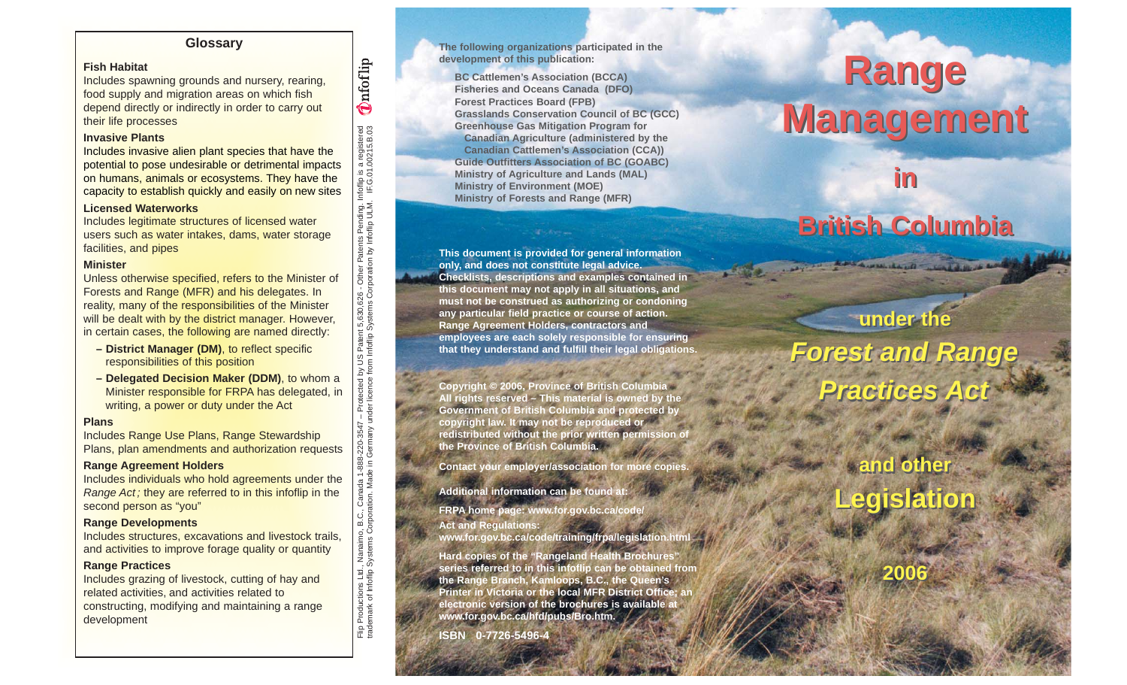## **Glossary**

## **Fish Habitat**

Includes spawning grounds and nursery, rearing, food supply and migration areas on which fish depend directly or indirectly in order to carry out their life processes

### **Invasive Plants**

Includes invasive alien plant species that have the potential to pose undesirable or detrimental impacts on humans, animals or ecosystems. They have the capacity to establish quickly and easily on new sites

#### **Licensed Waterworks**

Includes legitimate structures of licensed water users such as water intakes, dams, water storage facilities, and pipes

#### **Minister**

Unless otherwise specified, refers to the Minister of Forests and Range (MFR) and his delegates. In reality, many of the responsibilities of the Minister will be dealt with by the district manager. However, in certain cases, the following are named directly:

- **District Manager (DM)**, to reflect specific responsibilities of this position
- **Delegated Decision Maker (DDM)**, to whom a Minister responsible for FRPA has delegated, in writing, a power or duty under the Act

Flip Productions Ltd., Nanaimo, B.C., Canada 1-888-220-3547 – Protected by US Patent 5,630,626 - Other Patents Pending. Infoflip is a registered

-220-3547 – Protected by US Patent 5,630,626 - Other Patents Pending. In<br>Germany under licence from Infofilp Systems Corporation by Infofilp ULM.

trademark of Infoflip Systems Corporation. Made in Germany under licence from Infoflip Systems Corporation by Infoflip ULM. I

Filip Productions Ltd., Nanaimo, B.C., Canada 1-888<br>rademark of Infofilip Systems Corporation. Made in 0

F.G.01.00215.B.03

Infoflip is a registered<br>IF.G.01.00215.B.03

**Onfoflip** 

#### **Plans**

Includes Range Use Plans, Range Stewardship Plans, plan amendments and authorization requests

#### **Range Agreement Holders**

Includes individuals who hold agreements under the Range Act; they are referred to in this infoflip in the second person as "you"

#### **Range Developments**

Includes structures, excavations and livestock trails, and activities to improve forage quality or quantity

#### **Range Practices**

Includes grazing of livestock, cutting of hay and related activities, and activities related to constructing, modifying and maintaining a range development

#### **The following organizations participated in the development of this publication:**

**BC Cattlemen's Association (BCCA) Fisheries and Oceans Canada (DFO) Forest Practices Board (FPB) Grasslands Conservation Council of BC (GCC) Greenhouse Gas Mitigation Program for Canadian Agriculture (administered by the Canadian Cattlemen's Association (CCA)) Guide Outfitters Association of BC (GOABC) Ministry of Agriculture and Lands (MAL) Ministry of Environment (MOE) Ministry of Forests and Range (MFR)**

**This document is provided for general information only, and does not constitute legal advice. Checklists, descriptions and examples contained in this document may not apply in all situations, and must not be construed as authorizing or condoning any particular field practice or course of action. Range Agreement Holders, contractors and employees are each solely responsible for ensuring that they understand and fulfill their legal obligations.**

**Copyright © 2006, Province of British Columbia All rights reserved – This material is owned by the Government of British Columbia and protected by copyright law. It may not be reproduced or redistributed without the prior written permission of the Province of British Columbia.**

**Contact your employer/association for more copies.** 

**Additional information can be found at:**

**FRPA home page: www.for.gov.bc.ca/code/ Act and Regulations: www.for.gov.bc.ca/code/training/frpa/legislation.html** 

**Hard copies of the "Rangeland Health Brochures" series referred to in this infoflip can be obtained from the Range Branch, Kamloops, B.C., the Queen's Printer in Victoria or the local MFR District Office; an electronic version of the brochures is available at www.for.gov.bc.ca/hfd/pubs/Bro.htm.**

**ISBN 0-7726-5496-4**

# **Range Range Management Management**

## **British Columbia British Columbia**

what should be some of the cold that

**in in** 

**under the under the Forest and Range Practices Act Forest and Range Practices Act**

## **and other and other Legislation Legislation**

**2006 2006**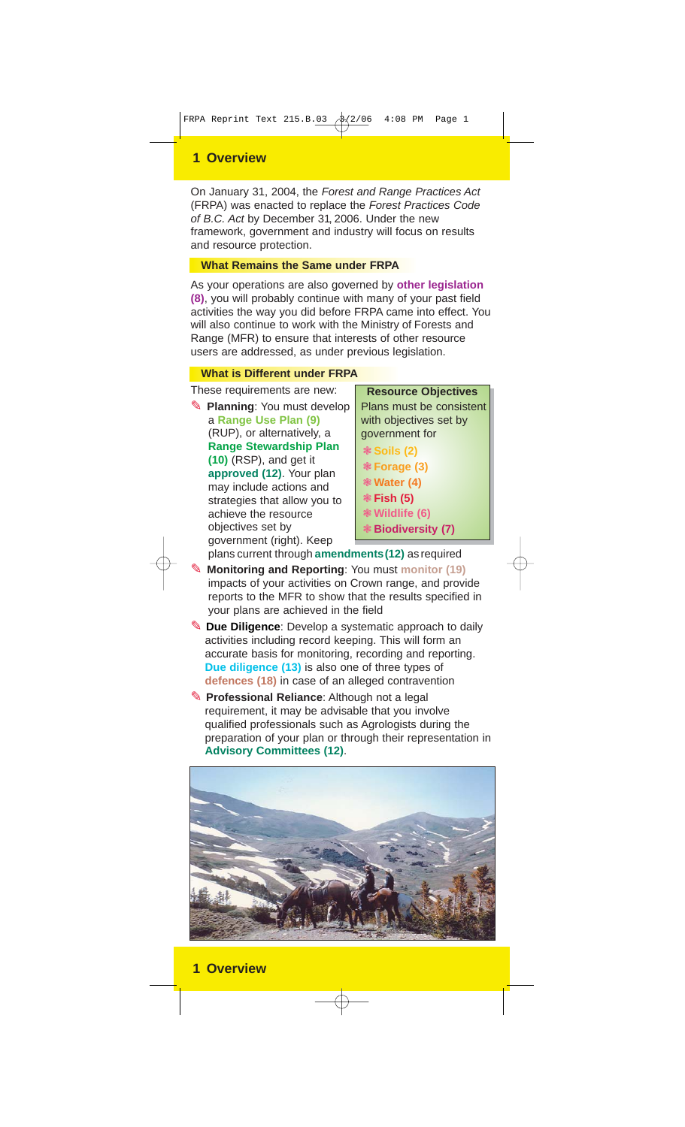## **1 Overview**

On January 31, 2004, the Forest and Range Practices Act (FRPA) was enacted to replace the Forest Practices Code of B.C. Act by December 31, 2006. Under the new framework, government and industry will focus on results and resource protection.

## **What Remains the Same under FRPA**

As your operations are also governed by **other legislation (8)**, you will probably continue with many of your past field activities the way you did before FRPA came into effect. You will also continue to work with the Ministry of Forests and Range (MFR) to ensure that interests of other resource users are addressed, as under previous legislation.

## **What is Different under FRPA**

These requirements are new:

**Planning: You must develop** a **Range Use Plan (9)** (RUP), or alternatively, a **Range Stewardship Plan (10)** (RSP), and get it **approved (12)**. Your plan may include actions and strategies that allow you to achieve the resource objectives set by government (right). Keep plans current through **amendments(12)** as required

**Resource Objectives** Plans must be consistent with objectives set by government for

- ❃ **Soils (2)**
- ❃ **Forage (3)**
- ❃ **Water (4)**
- ❃ **Fish (5)**
- ❃ **Wildlife (6)**
- ❃ **Biodiversity (7)**
- ✎ **Monitoring and Reporting**: You must **monitor (19)** impacts of your activities on Crown range, and provide reports to the MFR to show that the results specified in your plans are achieved in the field
- ✎ **Due Diligence**: Develop a systematic approach to daily activities including record keeping. This will form an accurate basis for monitoring, recording and reporting. **Due diligence (13)** is also one of three types of **defences (18)** in case of an alleged contravention
- ✎ **Professional Reliance**: Although not a legal requirement, it may be advisable that you involve qualified professionals such as Agrologists during the preparation of your plan or through their representation in **Advisory Committees (12)**.

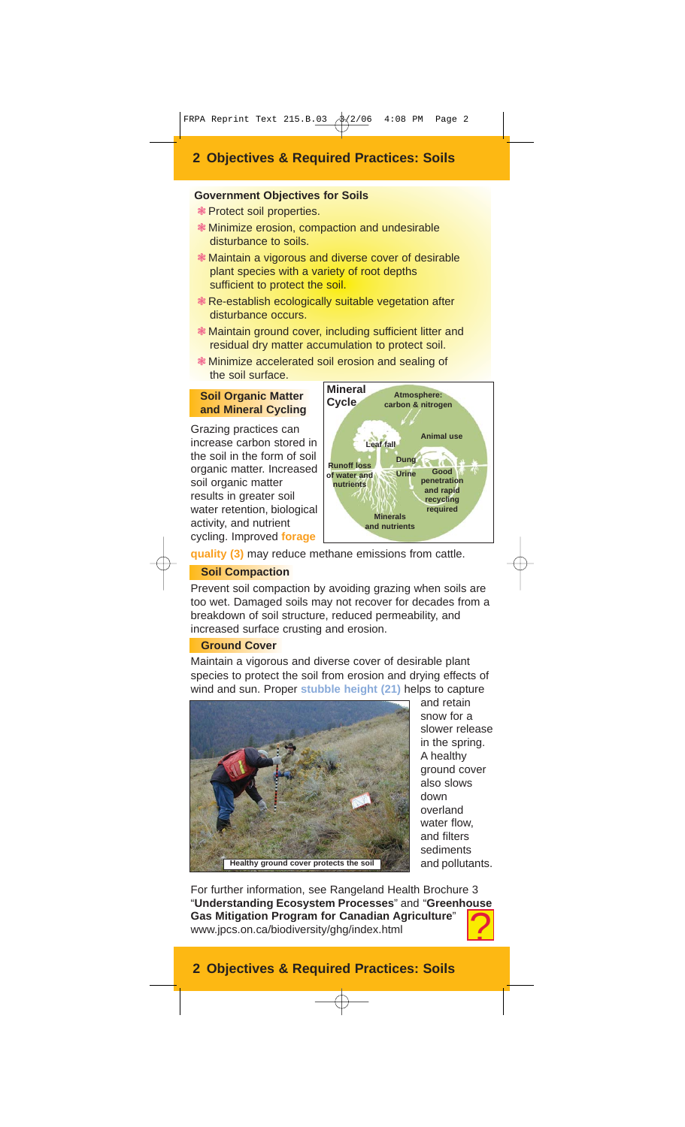## **2 Objectives & Required Practices: Soils**

## **Government Objectives for Soils**

- ❃ Protect soil properties.
- ❃ Minimize erosion, compaction and undesirable disturbance to soils.
- ❃ Maintain a vigorous and diverse cover of desirable plant species with a variety of root depths sufficient to protect the soil.
- ❃ Re-establish ecologically suitable vegetation after disturbance occurs.
- ❃ Maintain ground cover, including sufficient litter and residual dry matter accumulation to protect soil.
- ❃ Minimize accelerated soil erosion and sealing of the soil surface.

#### **Soil Organic Matter and Mineral Cycling**

Grazing practices can increase carbon stored in the soil in the form of soil organic matter. Increased soil organic matter results in greater soil water retention, biological activity, and nutrient cycling. Improved **forage**



**quality (3)** may reduce methane emissions from cattle.

## **Soil Compaction**

Prevent soil compaction by avoiding grazing when soils are too wet. Damaged soils may not recover for decades from a breakdown of soil structure, reduced permeability, and increased surface crusting and erosion.

## **Ground Cover**

Maintain a vigorous and diverse cover of desirable plant species to protect the soil from erosion and drying effects of wind and sun. Proper **stubble height (21)** helps to capture



and retain snow for a slower release in the spring. A healthy ground cover also slows down overland water flow, and filters sediments and pollutants.

For further information, see Rangeland Health Brochure 3 "**Understanding Ecosystem Processes**" and "**Greenhouse Gas Mitigation Program for Canadian Agriculture**" www.jpcs.on.ca/biodiversity/ghg/index.html

## **2 Objectives & Required Practices: Soils**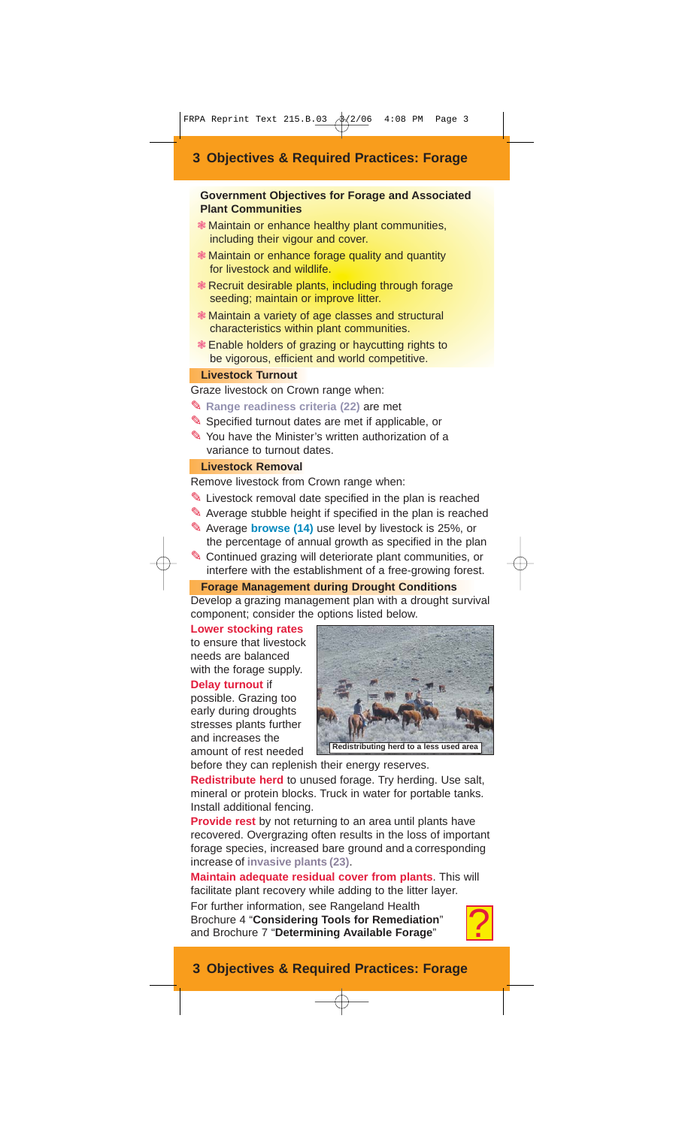## **3 Objectives & Required Practices: Forage**

## **Government Objectives for Forage and Associated Plant Communities**

- ❃ Maintain or enhance healthy plant communities, including their vigour and cover.
- ❃ Maintain or enhance forage quality and quantity for livestock and wildlife.
- ❃ Recruit desirable plants, including through forage seeding; maintain or improve litter.
- ❃ Maintain a variety of age classes and structural characteristics within plant communities.
- ❃ Enable holders of grazing or haycutting rights to be vigorous, efficient and world competitive.

## **Livestock Turnout**

Graze livestock on Crown range when:

- ✎ **Range readiness criteria (22)** are met
- ✎ Specified turnout dates are met if applicable, or
- ✎ You have the Minister's written authorization of a variance to turnout dates.

## **Livestock Removal**

Remove livestock from Crown range when:

- ✎ Livestock removal date specified in the plan is reached
- ✎ Average stubble height if specified in the plan is reached
- ✎ Average **browse (14)** use level by livestock is 25%, or the percentage of annual growth as specified in the plan
- ✎ Continued grazing will deteriorate plant communities, or interfere with the establishment of a free-growing forest.

**Forage Management during Drought Conditions**

Develop a grazing management plan with a drought survival component; consider the options listed below.

### **Lower stocking rates**

to ensure that livestock needs are balanced with the forage supply.

#### **Delay turnout** if

possible. Grazing too early during droughts stresses plants further and increases the amount of rest needed



**Redistributing herd to a less used a** 

before they can replenish their energy reserves.

**Redistribute herd** to unused forage. Try herding. Use salt, mineral or protein blocks. Truck in water for portable tanks. Install additional fencing.

**Provide rest** by not returning to an area until plants have recovered. Overgrazing often results in the loss of important forage species, increased bare ground and a corresponding increase of **invasive plants (23)**.

**Maintain adequate residual cover from plants**. This will facilitate plant recovery while adding to the litter layer.

For further information, see Rangeland Health Brochure 4 "**Considering Tools for Remediation**" and Brochure 7 "**Determining Available Forage**"



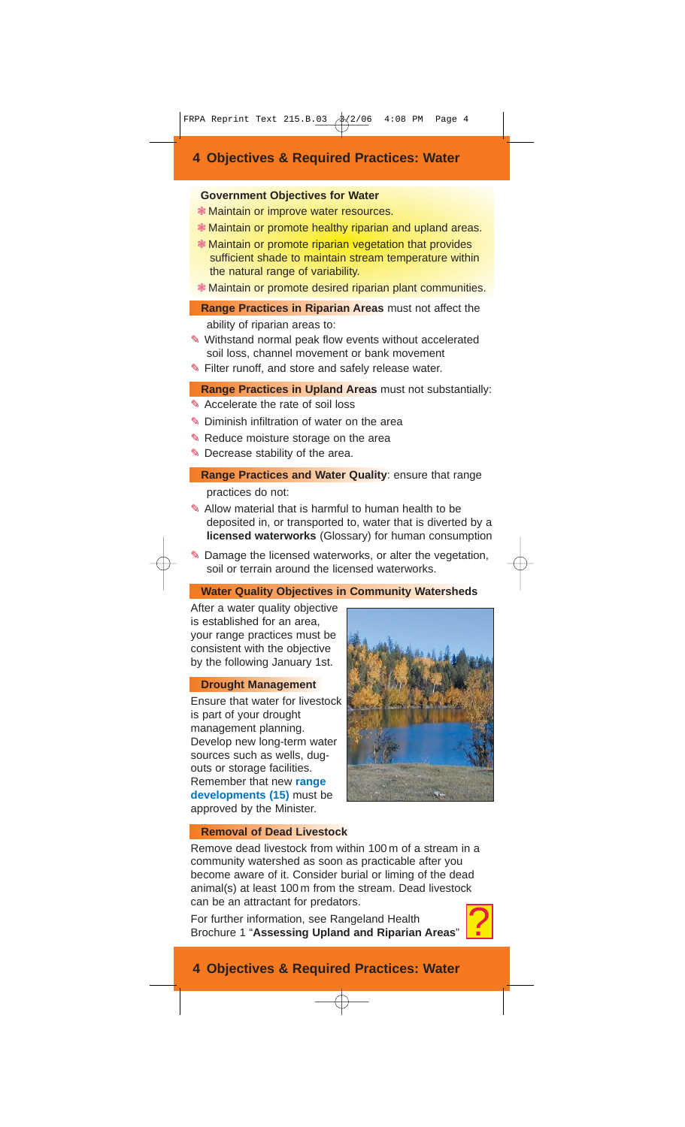## **4 Objectives & Required Practices: Water**

#### **Government Objectives for Water**

- ❃ Maintain or improve water resources.
- ❃ Maintain or promote healthy riparian and upland areas.
- ❃ Maintain or promote riparian vegetation that provides sufficient shade to maintain stream temperature within the natural range of variability.
- ❃ Maintain or promote desired riparian plant communities.
- **Range Practices in Riparian Areas** must not affect the
	- ability of riparian areas to:
- ✎ Withstand normal peak flow events without accelerated soil loss, channel movement or bank movement
- ✎ Filter runoff, and store and safely release water.

## **Range Practices in Upland Areas** must not substantially:

- ✎ Accelerate the rate of soil loss
- ✎ Diminish infiltration of water on the area
- ✎ Reduce moisture storage on the area
- ✎ Decrease stability of the area.
	- **Range Practices and Water Quality: ensure that range** practices do not:
- ✎ Allow material that is harmful to human health to be deposited in, or transported to, water that is diverted by a **licensed waterworks** (Glossary) for human consumption
- ✎ Damage the licensed waterworks, or alter the vegetation, soil or terrain around the licensed waterworks.

## **Water Quality Objectives in Community Watersheds**

After a water quality objective is established for an area, your range practices must be consistent with the objective by the following January 1st.

## **Drought Management**

Ensure that water for livestock is part of your drought management planning. Develop new long-term water sources such as wells, dugouts or storage facilities. Remember that new **range developments (15)** must be approved by the Minister.



## **Removal of Dead Livestock**

Remove dead livestock from within 100 m of a stream in a community watershed as soon as practicable after you become aware of it. Consider burial or liming of the dead animal(s) at least 100 m from the stream. Dead livestock can be an attractant for predators.

For further information, see Rangeland Health Brochure 1 "**Assessing Upland and Riparian Areas**"



## **4 Objectives & Required Practices: Water**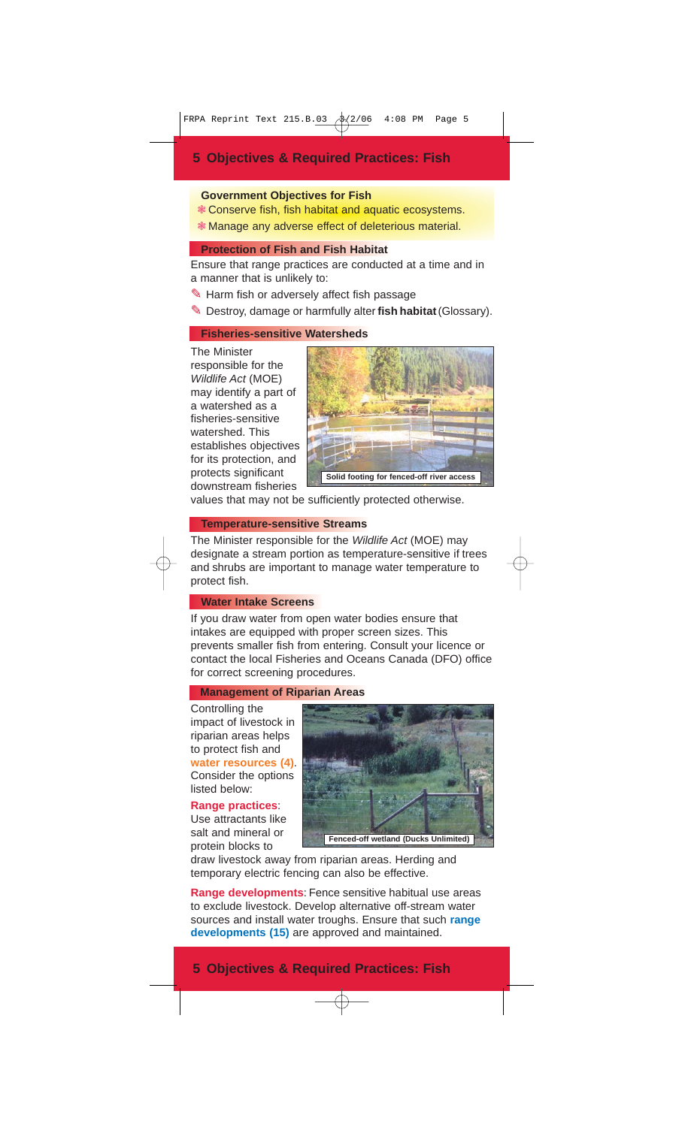#### **Government Objectives for Fish**

- ❃ Conserve fish, fish habitat and aquatic ecosystems.
- ❃ Manage any adverse effect of deleterious material.

### **Protection of Fish and Fish Habitat**

Ensure that range practices are conducted at a time and in a manner that is unlikely to:

✎ Harm fish or adversely affect fish passage

✎ Destroy, damage or harmfully alter **fish habitat**(Glossary).

#### **Fisheries-sensitive Watersheds**

The Minister responsible for the Wildlife Act (MOE) may identify a part of a watershed as a fisheries-sensitive watershed. This establishes objectives for its protection, and protects significant downstream fisheries



values that may not be sufficiently protected otherwise.

## **Temperature-sensitive Streams**

The Minister responsible for the Wildlife Act (MOE) may designate a stream portion as temperature-sensitive if trees and shrubs are important to manage water temperature to protect fish.

## **Water Intake Screens**

If you draw water from open water bodies ensure that intakes are equipped with proper screen sizes. This prevents smaller fish from entering. Consult your licence or contact the local Fisheries and Oceans Canada (DFO) office for correct screening procedures.

#### **Management of Riparian Areas**

Controlling the impact of livestock in riparian areas helps to protect fish and **water resources (4)**. Consider the options listed below:

## **Range practices**:

Use attractants like salt and mineral or protein blocks to



draw livestock away from riparian areas. Herding and temporary electric fencing can also be effective.

**Range developments**: Fence sensitive habitual use areas to exclude livestock. Develop alternative off-stream water sources and install water troughs. Ensure that such **range developments (15)** are approved and maintained.

## **5 Objectives & Required Practices: Fish**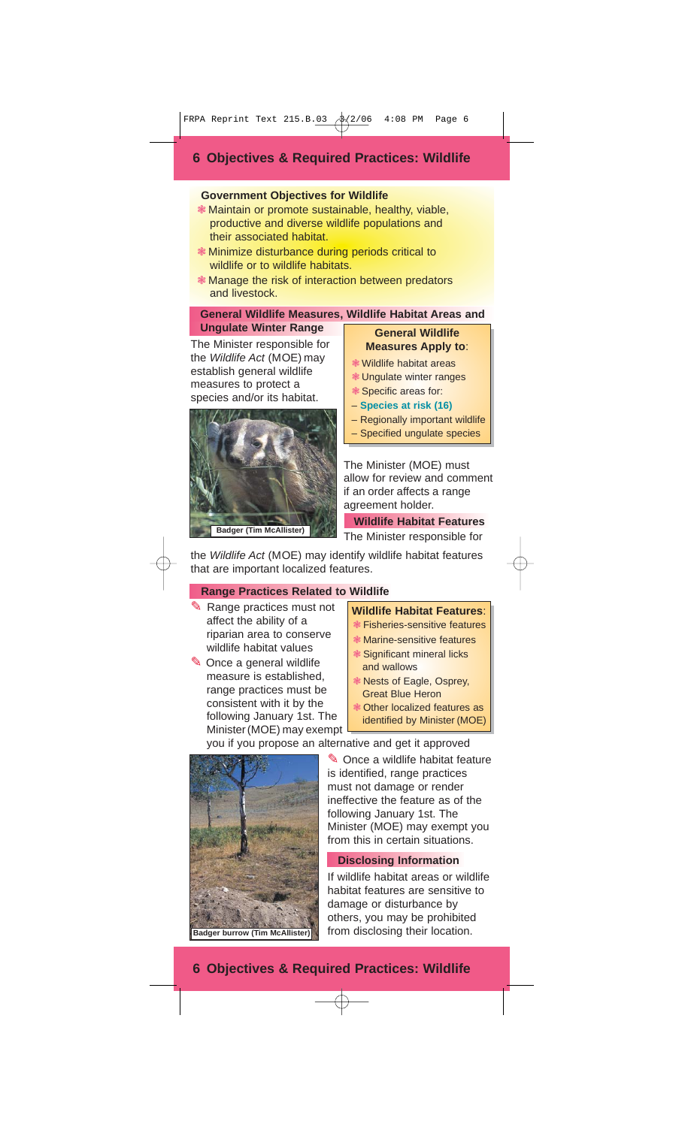## **6 Objectives & Required Practices: Wildlife**

## **Government Objectives for Wildlife**

- ❃ Maintain or promote sustainable, healthy, viable, productive and diverse wildlife populations and their associated habitat.
- ❃ Minimize disturbance during periods critical to wildlife or to wildlife habitats.
- ❃ Manage the risk of interaction between predators and livestock.

## **General Wildlife Measures, Wildlife Habitat Areas and Ungulate Winter Range**

The Minister responsible for the Wildlife Act (MOE) may establish general wildlife measures to protect a species and/or its habitat.



### **General Wildlife Measures Apply to**:

- ❃ Wildlife habitat areas
- ❃ Ungulate winter ranges
- ❃ Specific areas for:
- **Species at risk (16)**
- Regionally important wildlife
- Specified ungulate species

The Minister (MOE) must allow for review and comment if an order affects a range agreement holder.

**Wildlife Habitat Features**

The Minister responsible for

the Wildlife Act (MOE) may identify wildlife habitat features that are important localized features.

## **Range Practices Related to Wildlife**

- ✎ Range practices must not affect the ability of a riparian area to conserve wildlife habitat values
- ✎ Once a general wildlife measure is established, range practices must be consistent with it by the following January 1st. The Minister (MOE) may exempt

#### **Wildlife Habitat Features**:

- ❃ Fisheries-sensitive features
- ❃ Marine-sensitive features
- ❃ Significant mineral licks and wallows
- ❃ Nests of Eagle, Osprey, Great Blue Heron
- ❃ Other localized features as identified by Minister (MOE)

you if you propose an alternative and get it approved

✎ Once a wildlife habitat feature is identified, range practices must not damage or render ineffective the feature as of the following January 1st. The Minister (MOE) may exempt you from this in certain situations.

## **Disclosing Information**

If wildlife habitat areas or wildlife habitat features are sensitive to damage or disturbance by others, you may be prohibited from disclosing their location.



**6 Objectives & Required Practices: Wildlife**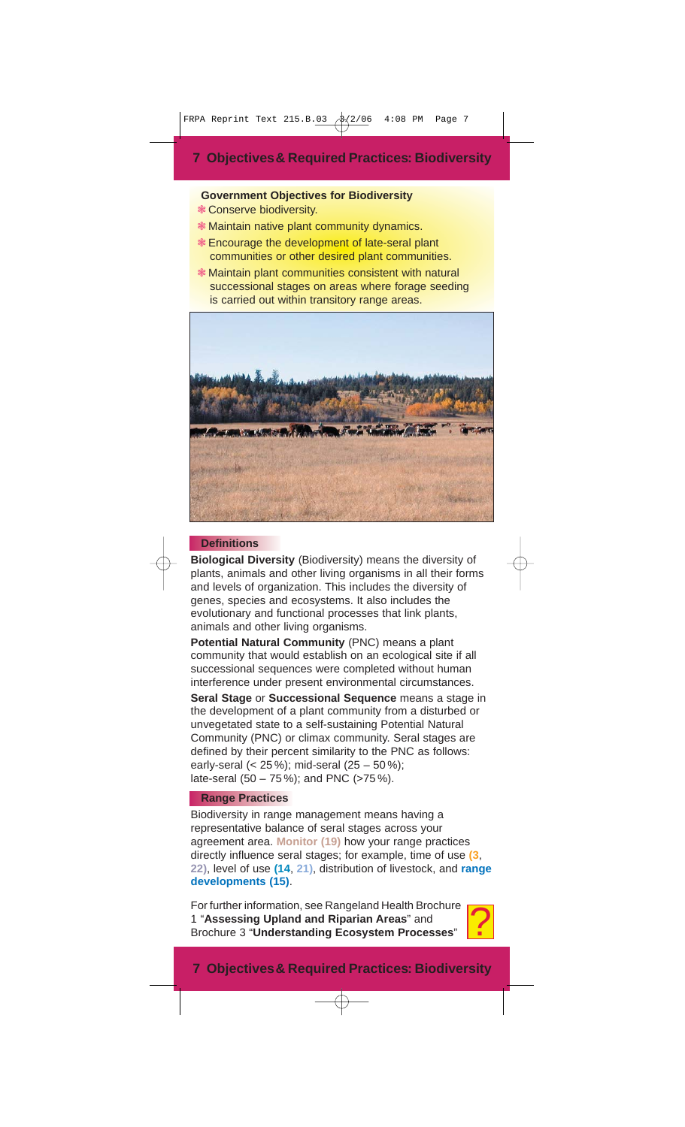## **Government Objectives for Biodiversity**

- ❃ Conserve biodiversity.
- ❃ Maintain native plant community dynamics.
- ❃ Encourage the development of late-seral plant communities or other desired plant communities.
- ❃ Maintain plant communities consistent with natural successional stages on areas where forage seeding is carried out within transitory range areas.



#### **Definitions**

**Biological Diversity** (Biodiversity) means the diversity of plants, animals and other living organisms in all their forms and levels of organization. This includes the diversity of genes, species and ecosystems. It also includes the evolutionary and functional processes that link plants, animals and other living organisms.

**Potential Natural Community** (PNC) means a plant community that would establish on an ecological site if all successional sequences were completed without human interference under present environmental circumstances. **Seral Stage** or **Successional Sequence** means a stage in the development of a plant community from a disturbed or unvegetated state to a self-sustaining Potential Natural Community (PNC) or climax community. Seral stages are defined by their percent similarity to the PNC as follows: early-seral (< 25 %); mid-seral (25 – 50 %); late-seral (50 – 75 %); and PNC (>75 %).

#### **Range Practices**

Biodiversity in range management means having a representative balance of seral stages across your agreement area. **Monitor (19)** how your range practices directly influence seral stages; for example, time of use **(3**, **22)**, level of use **(14**, **21)**, distribution of livestock, and **range developments (15)**.

For further information, see Rangeland Health Brochure 1 "**Assessing Upland and Riparian Areas**" and Brochure 3 "**Understanding Ecosystem Processes**" ?



## **7 Objectives& Required Practices: Biodiversity**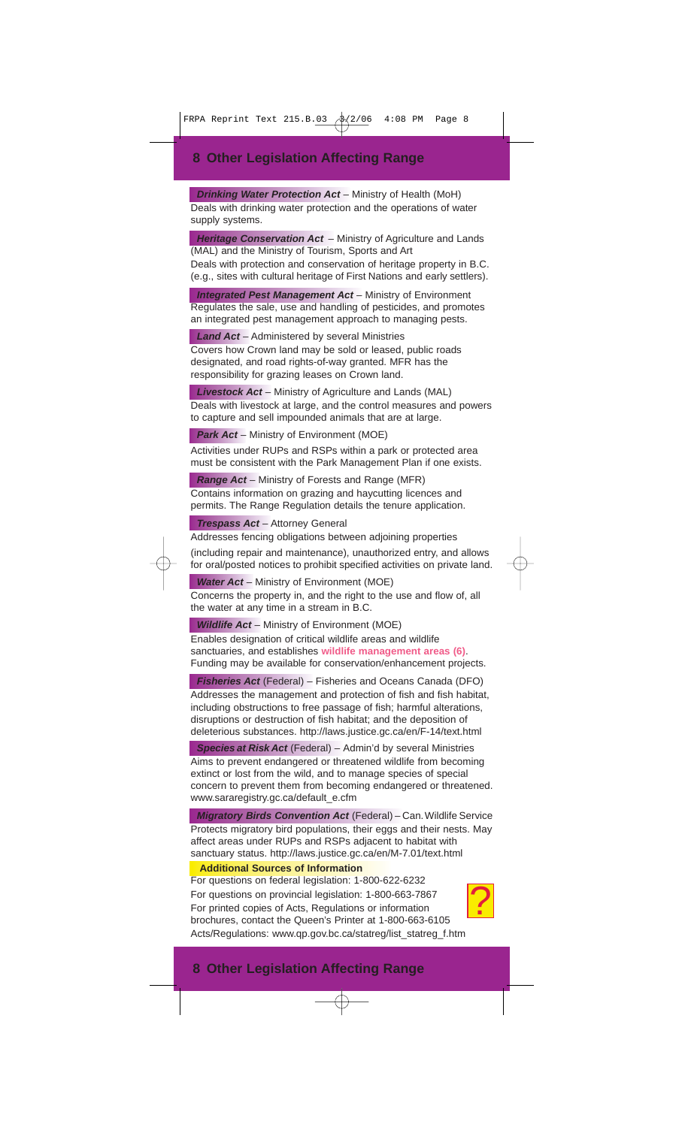**Drinking Water Protection Act** – Ministry of Health (MoH) Deals with drinking water protection and the operations of water supply systems.

**Heritage Conservation Act** – Ministry of Agriculture and Lands (MAL) and the Ministry of Tourism, Sports and Art

Deals with protection and conservation of heritage property in B.C. (e.g., sites with cultural heritage of First Nations and early settlers).

**Integrated Pest Management Act - Ministry of Environment** Regulates the sale, use and handling of pesticides, and promotes an integrated pest management approach to managing pests.

**Land Act** – Administered by several Ministries

Covers how Crown land may be sold or leased, public roads designated, and road rights-of-way granted. MFR has the responsibility for grazing leases on Crown land.

**Livestock Act** – Ministry of Agriculture and Lands (MAL) Deals with livestock at large, and the control measures and powers to capture and sell impounded animals that are at large.

**Park Act** – Ministry of Environment (MOE)

Activities under RUPs and RSPs within a park or protected area must be consistent with the Park Management Plan if one exists.

**Range Act** – Ministry of Forests and Range (MFR) Contains information on grazing and haycutting licences and permits. The Range Regulation details the tenure application.

**Trespass Act** – Attorney General

Addresses fencing obligations between adjoining properties (including repair and maintenance), unauthorized entry, and allows for oral/posted notices to prohibit specified activities on private land.

**Water Act** – Ministry of Environment (MOE)

Concerns the property in, and the right to the use and flow of, all the water at any time in a stream in B.C.

**Wildlife Act** – Ministry of Environment (MOE)

Enables designation of critical wildlife areas and wildlife sanctuaries, and establishes **wildlife management areas (6)**. Funding may be available for conservation/enhancement projects.

**Fisheries Act** (Federal) – Fisheries and Oceans Canada (DFO) Addresses the management and protection of fish and fish habitat, including obstructions to free passage of fish; harmful alterations, disruptions or destruction of fish habitat; and the deposition of deleterious substances. http://laws.justice.gc.ca/en/F-14/text.html

**Species at Risk Act** (Federal) – Admin'd by several Ministries Aims to prevent endangered or threatened wildlife from becoming extinct or lost from the wild, and to manage species of special concern to prevent them from becoming endangered or threatened. www.sararegistry.gc.ca/default\_e.cfm

**Migratory Birds Convention Act** (Federal) - Can. Wildlife Service Protects migratory bird populations, their eggs and their nests. May affect areas under RUPs and RSPs adjacent to habitat with sanctuary status. http://laws.justice.gc.ca/en/M-7.01/text.html

#### **Additional Sources of Information**

For questions on federal legislation: 1-800-622-6232 For questions on provincial legislation: 1-800-663-7867 For printed copies of Acts, Regulations or information brochures, contact the Queen's Printer at 1-800-663-6105 Acts/Regulations: www.qp.gov.bc.ca/statreg/list\_statreg\_f.htm



## **8 Other Legislation Affecting Range**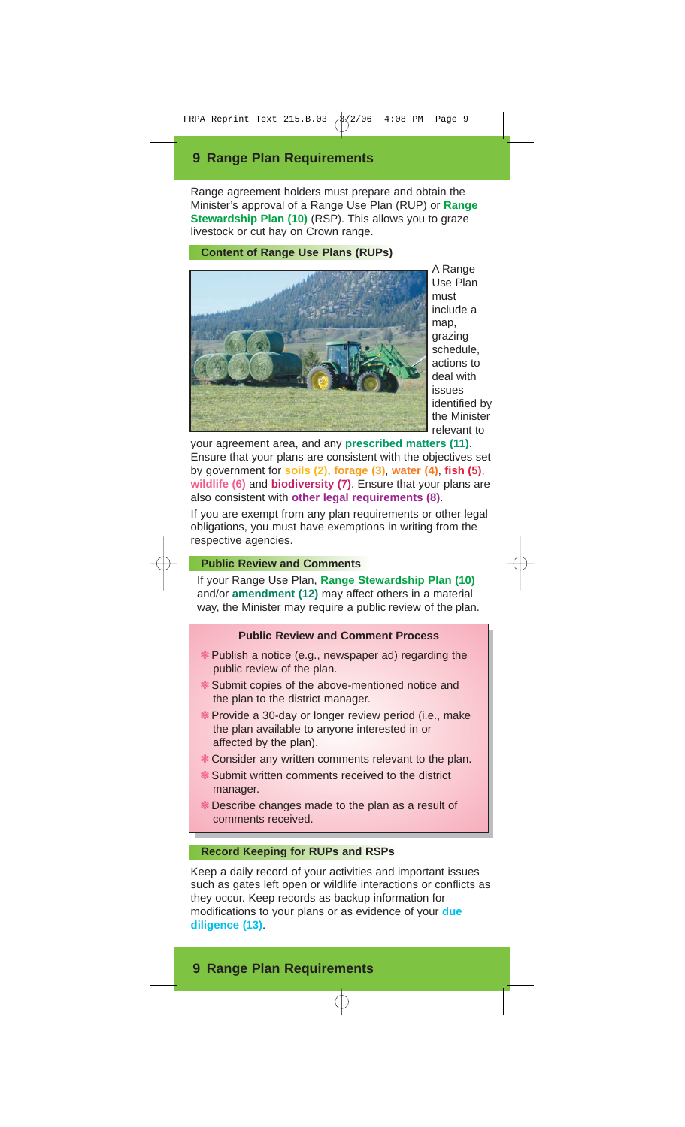## **9 Range Plan Requirements**

Range agreement holders must prepare and obtain the Minister's approval of a Range Use Plan (RUP) or **Range Stewardship Plan (10)** (RSP). This allows you to graze livestock or cut hay on Crown range.

#### **Content of Range Use Plans (RUPs)**



A Range Use Plan must include a map, grazing schedule, actions to deal with issues identified by the Minister relevant to

your agreement area, and any **prescribed matters (11)**. Ensure that your plans are consistent with the objectives set by government for **soils (2)**, **forage (3)**, **water (4)**, **fish (5)**, **wildlife (6)** and **biodiversity (7)**. Ensure that your plans are also consistent with **other legal requirements (8)**.

If you are exempt from any plan requirements or other legal obligations, you must have exemptions in writing from the respective agencies.

## **Public Review and Comments**

If your Range Use Plan, **Range Stewardship Plan (10)** and/or **amendment (12)** may affect others in a material way, the Minister may require a public review of the plan.

#### **Public Review and Comment Process**

- ❃ Publish a notice (e.g., newspaper ad) regarding the public review of the plan.
- ❃ Submit copies of the above-mentioned notice and the plan to the district manager.
- ❃ Provide a 30-day or longer review period (i.e., make the plan available to anyone interested in or affected by the plan).
- ❃ Consider any written comments relevant to the plan.
- ❃ Submit written comments received to the district manager.
- ❃ Describe changes made to the plan as a result of comments received.

## **Record Keeping for RUPs and RSPs**

Keep a daily record of your activities and important issues such as gates left open or wildlife interactions or conflicts as they occur. Keep records as backup information for modifications to your plans or as evidence of your **due diligence (13)**.

## **9 Range Plan Requirements**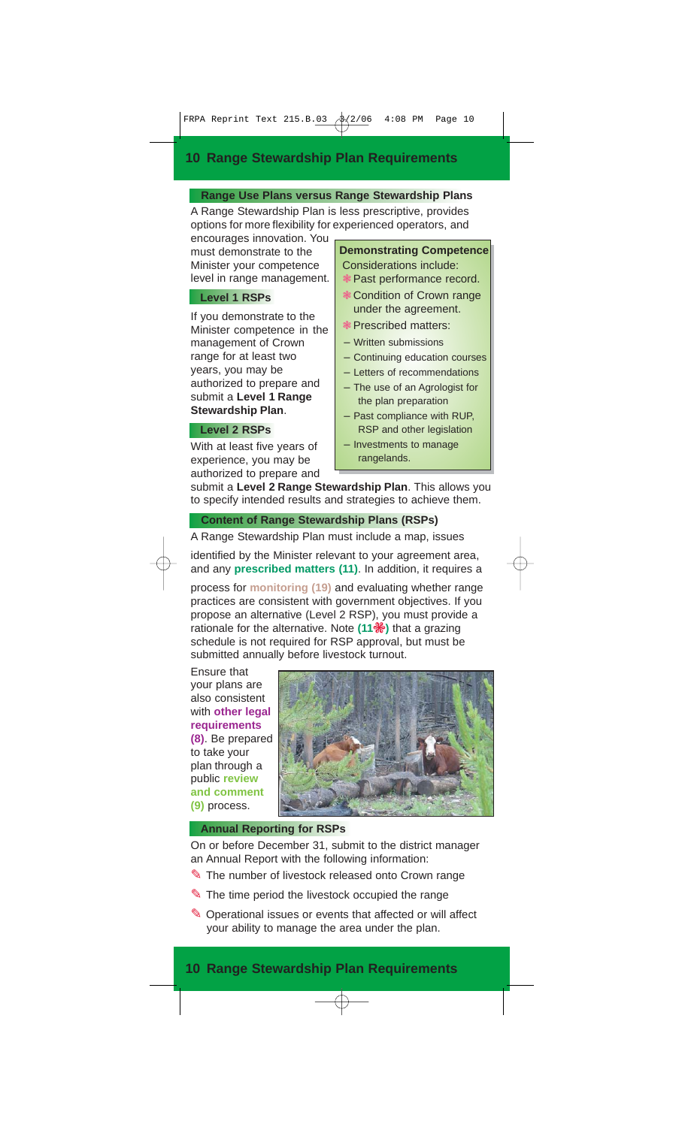## **10 Range Stewardship Plan Requirements**

## **Range Use Plans versus Range Stewardship Plans** A Range Stewardship Plan is less prescriptive, provides

options for more flexibility for experienced operators, and

encourages innovation. You must demonstrate to the Minister your competence level in range management.

## **Level 1 RSPs**

If you demonstrate to the Minister competence in the management of Crown range for at least two years, you may be authorized to prepare and submit a **Level 1 Range Stewardship Plan**.

#### **Level 2 RSPs**

With at least five years of experience, you may be authorized to prepare and

## **Demonstrating Competence** Considerations include:

- ❃ Past performance record.
- ❃ Condition of Crown range under the agreement.
- ❃ Prescribed matters:
- Written submissions
- Continuing education courses
- Letters of recommendations
- The use of an Agrologist for the plan preparation
- Past compliance with RUP, RSP and other legislation
- Investments to manage rangelands.

submit a **Level 2 Range Stewardship Plan**. This allows you to specify intended results and strategies to achieve them.

**Content of Range Stewardship Plans (RSPs)**

A Range Stewardship Plan must include a map, issues

identified by the Minister relevant to your agreement area, and any **prescribed matters (11)**. In addition, it requires a

process for **monitoring (19)** and evaluating whether range practices are consistent with government objectives. If you propose an alternative (Level 2 RSP), you must provide a rationale for the alternative. Note (11 <sup>•</sup> ) that a grazing schedule is not required for RSP approval, but must be submitted annually before livestock turnout.

Ensure that your plans are also consistent with **other legal requirements (8)**. Be prepared to take your plan through a public **review and comment (9)** process.



#### **Annual Reporting for RSPs**

On or before December 31, submit to the district manager an Annual Report with the following information:

- ✎ The number of livestock released onto Crown range
- ✎ The time period the livestock occupied the range
- ✎ Operational issues or events that affected or will affect your ability to manage the area under the plan.

## **10 Range Stewardship Plan Requirements**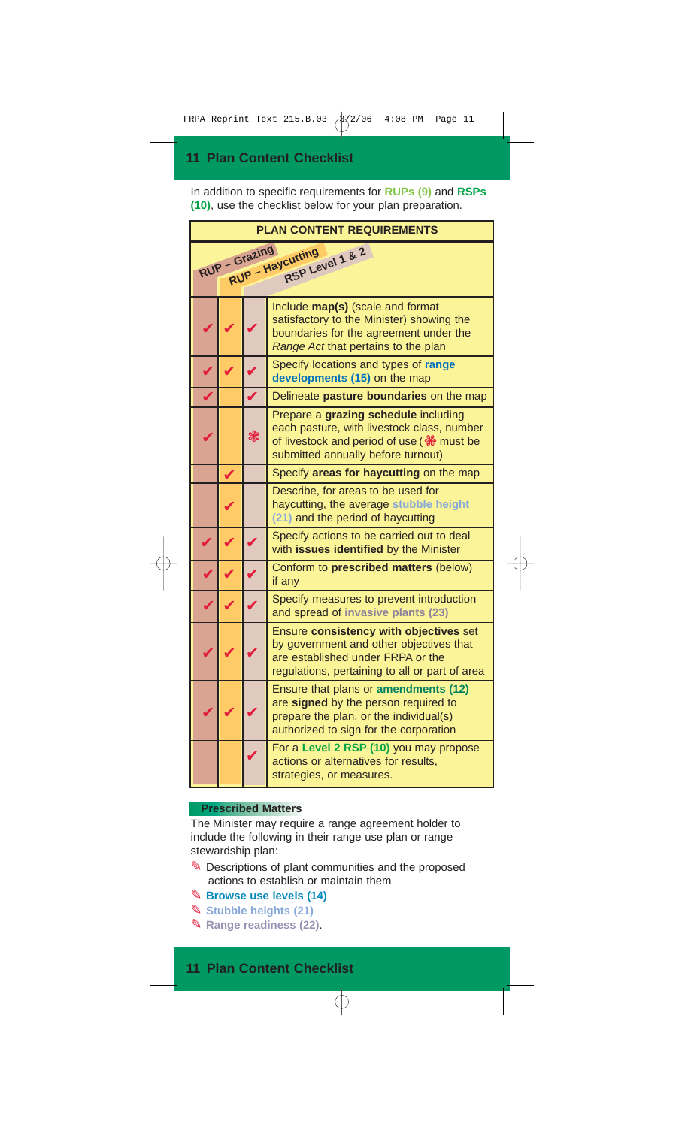In addition to specific requirements for **RUPs (9)** and **RSPs (10)**, use the checklist below for your plan preparation.

| <b>PLAN CONTENT REQUIREMENTS</b>                     |  |               |                                                                                                                                                                                      |  |  |
|------------------------------------------------------|--|---------------|--------------------------------------------------------------------------------------------------------------------------------------------------------------------------------------|--|--|
| RUP - Grazing<br>RSP Level 1 & 2<br>RUP - Haycutting |  |               |                                                                                                                                                                                      |  |  |
|                                                      |  |               | Include map(s) (scale and format<br>satisfactory to the Minister) showing the<br>boundaries for the agreement under the<br>Range Act that pertains to the plan                       |  |  |
|                                                      |  |               | Specify locations and types of range<br>developments (15) on the map                                                                                                                 |  |  |
|                                                      |  |               | Delineate pasture boundaries on the map                                                                                                                                              |  |  |
|                                                      |  | $\mathscr{F}$ | Prepare a grazing schedule including<br>each pasture, with livestock class, number<br>of livestock and period of use ( $\frac{16}{36}$ must be<br>submitted annually before turnout) |  |  |
|                                                      |  |               | Specify areas for haycutting on the map                                                                                                                                              |  |  |
|                                                      |  |               | Describe, for areas to be used for<br>haycutting, the average stubble height<br>(21) and the period of haycutting                                                                    |  |  |
|                                                      |  |               | Specify actions to be carried out to deal<br>with issues identified by the Minister                                                                                                  |  |  |
|                                                      |  |               | Conform to prescribed matters (below)<br>if any                                                                                                                                      |  |  |
|                                                      |  |               | Specify measures to prevent introduction<br>and spread of invasive plants (23)                                                                                                       |  |  |
|                                                      |  |               | Ensure consistency with objectives set<br>by government and other objectives that<br>are established under FRPA or the<br>regulations, pertaining to all or part of area             |  |  |
|                                                      |  |               | Ensure that plans or amendments (12)<br>are signed by the person required to<br>prepare the plan, or the individual(s)<br>authorized to sign for the corporation                     |  |  |
|                                                      |  |               | For a Level 2 RSP (10) you may propose<br>actions or alternatives for results,<br>strategies, or measures.                                                                           |  |  |

## **Prescribed Matters**

The Minister may require a range agreement holder to include the following in their range use plan or range stewardship plan:

- ✎ Descriptions of plant communities and the proposed actions to establish or maintain them
- ✎ **Browse use levels (14)**
- ✎ **Stubble heights (21)**
- ✎ **Range readiness (22)**.

## **11 Plan Content Checklist**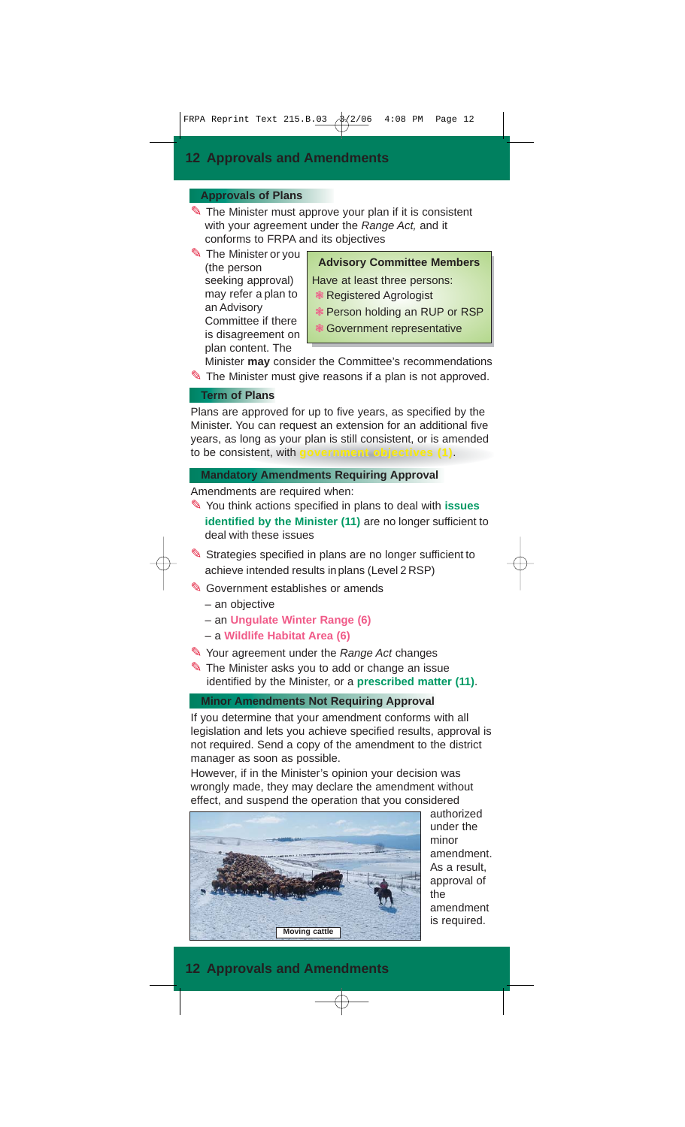## **Approvals of Plans**

✎ The Minister must approve your plan if it is consistent with your agreement under the Range Act, and it conforms to FRPA and its objectives

✎ The Minister or you (the person seeking approval) may refer a plan to an Advisory Committee if there is disagreement on plan content. The

**Advisory Committee Members** 

- Have at least three persons: ❃ Registered Agrologist
- ❃ Person holding an RUP or RSP
- ❃ Government representative

Minister **may** consider the Committee's recommendations The Minister must give reasons if a plan is not approved.

#### **Term of Plans**

Plans are approved for up to five years, as specified by the Minister. You can request an extension for an additional five years, as long as your plan is still consistent, or is amended to be consistent, with **government objectives** (1).

## **Mandatory Amendments Requiring Approval**

Amendments are required when:

- ✎ You think actions specified in plans to deal with **issues identified by the Minister (11)** are no longer sufficient to deal with these issues
- ✎ Strategies specified in plans are no longer sufficient to achieve intended results inplans (Level 2 RSP)
- ✎ Government establishes or amends
	- an objective
	- an **Ungulate Winter Range (6)**
	- a **Wildlife Habitat Area (6)**
- ✎ Your agreement under the Range Act changes
- ✎ The Minister asks you to add or change an issue identified by the Minister, or a **prescribed matter (11)**.

## **Minor Amendments Not Requiring Approval**

If you determine that your amendment conforms with all legislation and lets you achieve specified results, approval is not required. Send a copy of the amendment to the district manager as soon as possible.

However, if in the Minister's opinion your decision was wrongly made, they may declare the amendment without effect, and suspend the operation that you considered



authorized under the minor amendment. As a result, approval of the amendment is required.

## **12 Approvals and Amendments**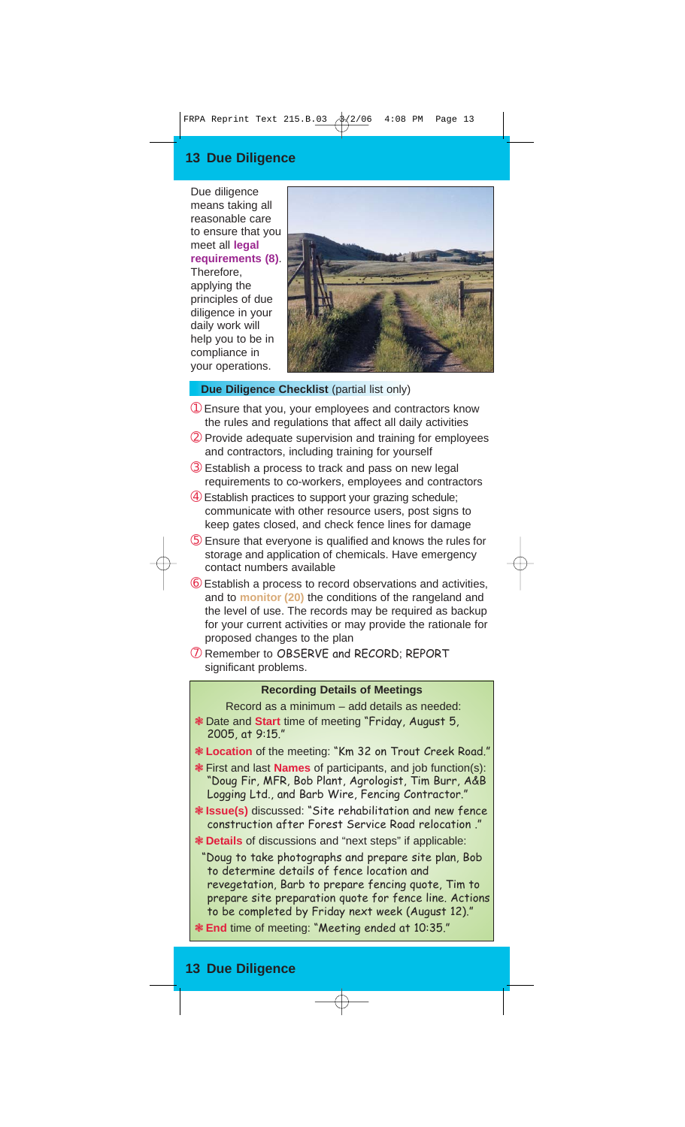## **13 Due Diligence**

Due diligence means taking all reasonable care to ensure that you meet all **legal requirements (8)**. Therefore, applying the principles of due diligence in your daily work will help you to be in compliance in your operations.



## **Due Diligence Checklist** (partial list only)

- ➀ Ensure that you, your employees and contractors know the rules and regulations that affect all daily activities
- ➁ Provide adequate supervision and training for employees and contractors, including training for yourself
- ➂ Establish a process to track and pass on new legal requirements to co-workers, employees and contractors
- ➃ Establish practices to support your grazing schedule; communicate with other resource users, post signs to keep gates closed, and check fence lines for damage
- ➄ Ensure that everyone is qualified and knows the rules for storage and application of chemicals. Have emergency contact numbers available
- ➅ Establish a process to record observations and activities, and to **monitor (20)** the conditions of the rangeland and the level of use. The records may be required as backup for your current activities or may provide the rationale for proposed changes to the plan
- ➆ Remember to OBSERVE and RECORD; REPORT significant problems.

#### **Recording Details of Meetings**

Record as a minimum – add details as needed: ❃ Date and **Start** time of meeting "Friday, August 5, 2005, at 9:15."

- ❃ **Location** of the meeting: "Km 32 on Trout Creek Road."
- ❃ First and last **Names** of participants, and job function(s): "Doug Fir, MFR, Bob Plant, Agrologist, Tim Burr, A&B Logging Ltd., and Barb Wire, Fencing Contractor."
- ❃ **Issue(s)** discussed: "Site rehabilitation and new fence construction after Forest Service Road relocation ."
- ❃ **Details** of discussions and "next steps" if applicable:

"Doug to take photographs and prepare site plan, Bob to determine details of fence location and revegetation, Barb to prepare fencing quote, Tim to prepare site preparation quote for fence line. Actions to be completed by Friday next week (August 12)."

❃ **End** time of meeting: "Meeting ended at 10:35."

## **13 Due Diligence**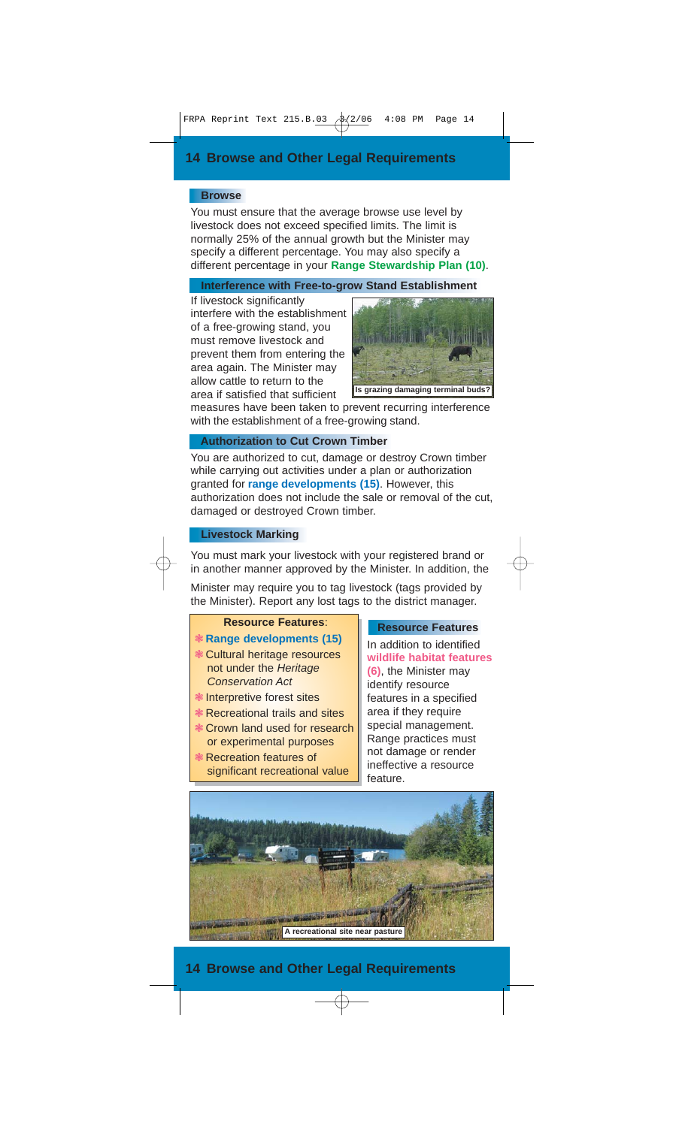#### **Browse**

You must ensure that the average browse use level by livestock does not exceed specified limits. The limit is normally 25% of the annual growth but the Minister may specify a different percentage. You may also specify a different percentage in your **Range Stewardship Plan (10)**.

## **Interference with Free-to-grow Stand Establishment**

If livestock significantly interfere with the establishment of a free-growing stand, you must remove livestock and prevent them from entering the area again. The Minister may allow cattle to return to the area if satisfied that sufficient



measures have been taken to prevent recurring interference with the establishment of a free-growing stand.

#### **Authorization to Cut Crown Timber**

You are authorized to cut, damage or destroy Crown timber while carrying out activities under a plan or authorization granted for **range developments (15)**. However, this authorization does not include the sale or removal of the cut, damaged or destroyed Crown timber.

## **Livestock Marking**

You must mark your livestock with your registered brand or in another manner approved by the Minister. In addition, the

Minister may require you to tag livestock (tags provided by the Minister). Report any lost tags to the district manager.

## **Resource Features**:

- ❃ **Range developments (15)** ❃ Cultural heritage resources not under the Heritage
- Conservation Act ❃ Interpretive forest sites
- ❃ Recreational trails and sites
- ❃ Crown land used for research or experimental purposes
- ❃ Recreation features of significant recreational value

#### **Resource Features**

In addition to identified **wildlife habitat features (6)**, the Minister may identify resource features in a specified area if they require special management. Range practices must not damage or render ineffective a resource feature.



## **14 Browse and Other Legal Requirements**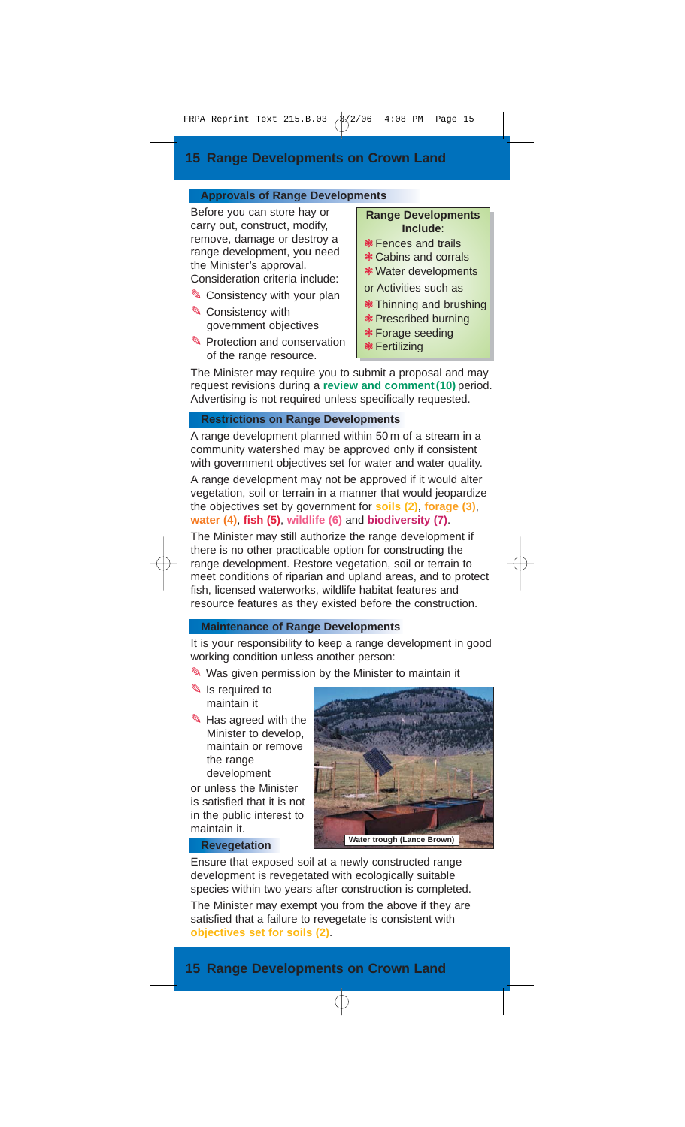## **Approvals of Range Developments**

Before you can store hay or carry out, construct, modify, remove, damage or destroy a range development, you need the Minister's approval.

- Consideration criteria include: ✎ Consistency with your plan
- ✎ Consistency with government objectives
- ✎ Protection and conservation of the range resource.

**Range Developments Include**:

- ❃ Fences and trails
- ❃ Cabins and corrals
- ❃ Water developments

or Activities such as

- ❃ Thinning and brushing
- ❃ Prescribed burning
- ❃ Forage seeding
- ❃ Fertilizing

The Minister may require you to submit a proposal and may request revisions during a **review and comment (10)** period. Advertising is not required unless specifically requested.

## **Restrictions on Range Developments**

A range development planned within 50 m of a stream in a community watershed may be approved only if consistent with government objectives set for water and water quality.

A range development may not be approved if it would alter vegetation, soil or terrain in a manner that would jeopardize the objectives set by government for **soils (2)**, **forage (3)**, **water (4)**, **fish (5)**, **wildlife (6)** and **biodiversity (7)**.

The Minister may still authorize the range development if there is no other practicable option for constructing the range development. Restore vegetation, soil or terrain to meet conditions of riparian and upland areas, and to protect fish, licensed waterworks, wildlife habitat features and resource features as they existed before the construction.

## **Maintenance of Range Developments**

It is your responsibility to keep a range development in good working condition unless another person:

- ✎ Was given permission by the Minister to maintain it
- ✎ Is required to maintain it
- ✎ Has agreed with the Minister to develop, maintain or remove the range development

or unless the Minister is satisfied that it is not in the public interest to maintain it.



#### **Revegetation**

Ensure that exposed soil at a newly constructed range development is revegetated with ecologically suitable species within two years after construction is completed.

The Minister may exempt you from the above if they are satisfied that a failure to revegetate is consistent with **objectives set for soils (2)**.

## **15 Range Developments on Crown Land**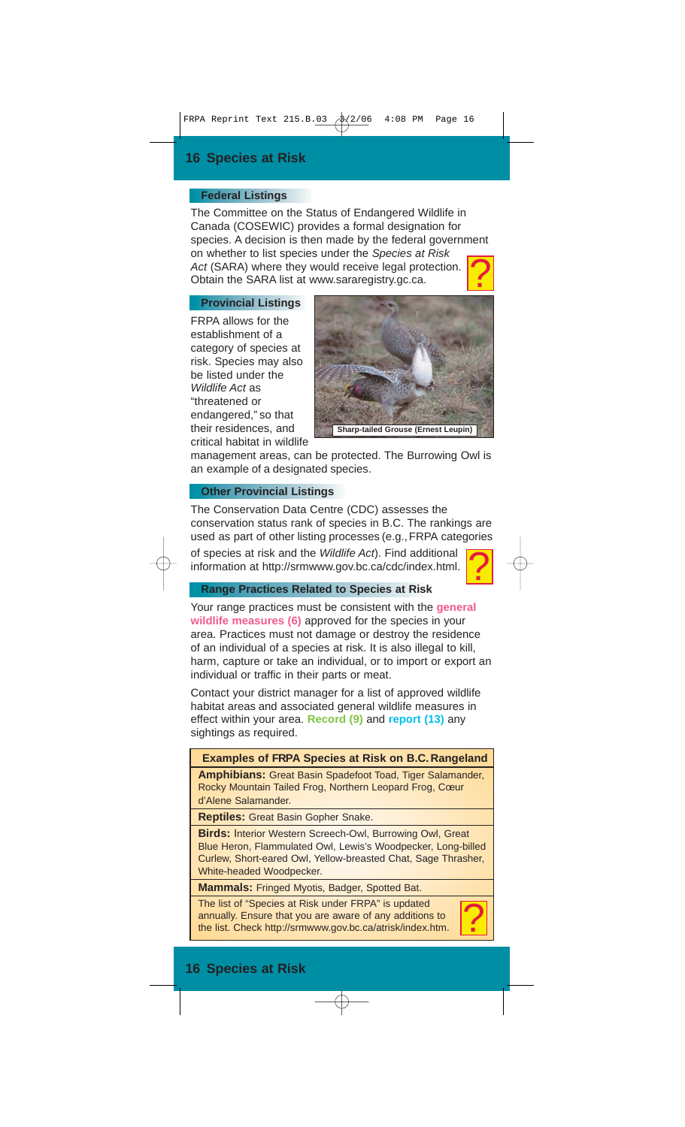## **Federal Listings**

The Committee on the Status of Endangered Wildlife in Canada (COSEWIC) provides a formal designation for species. A decision is then made by the federal government on whether to list species under the Species at Risk Act (SARA) where they would receive legal protection. Obtain the SARA list at www.sararegistry.gc.ca. ?

### **Provincial Listings**

FRPA allows for the establishment of a category of species at risk. Species may also be listed under the Wildlife Act as "threatened or endangered," so that their residences, and critical habitat in wildlife



management areas, can be protected. The Burrowing Owl is an example of a designated species.

## **Other Provincial Listings**

The Conservation Data Centre (CDC) assesses the conservation status rank of species in B.C. The rankings are used as part of other listing processes (e.g., FRPA categories of species at risk and the Wildlife Act). Find additional information at http://srmwww.gov.bc.ca/cdc/index.html. ?

## **Range Practices Related to Species at Risk**

Your range practices must be consistent with the **general wildlife measures (6)** approved for the species in your area. Practices must not damage or destroy the residence of an individual of a species at risk. It is also illegal to kill, harm, capture or take an individual, or to import or export an individual or traffic in their parts or meat.

Contact your district manager for a list of approved wildlife habitat areas and associated general wildlife measures in effect within your area. **Record (9)** and **report (13)** any sightings as required.

## **Examples of FRPA Species at Risk on B.C. Rangeland**

**Amphibians:** Great Basin Spadefoot Toad, Tiger Salamander, Rocky Mountain Tailed Frog, Northern Leopard Frog, Coeur d'Alene Salamander.

**Reptiles:** Great Basin Gopher Snake.

**Birds:** Interior Western Screech-Owl, Burrowing Owl, Great Blue Heron, Flammulated Owl, Lewis's Woodpecker, Long-billed Curlew, Short-eared Owl, Yellow-breasted Chat, Sage Thrasher, White-headed Woodpecker.

**Mammals:** Fringed Myotis, Badger, Spotted Bat.

The list of "Species at Risk under FRPA" is updated annually. Ensure that you are aware of any additions to the list. Check http://srmwww.gov.bc.ca/atrisk/index.htm.

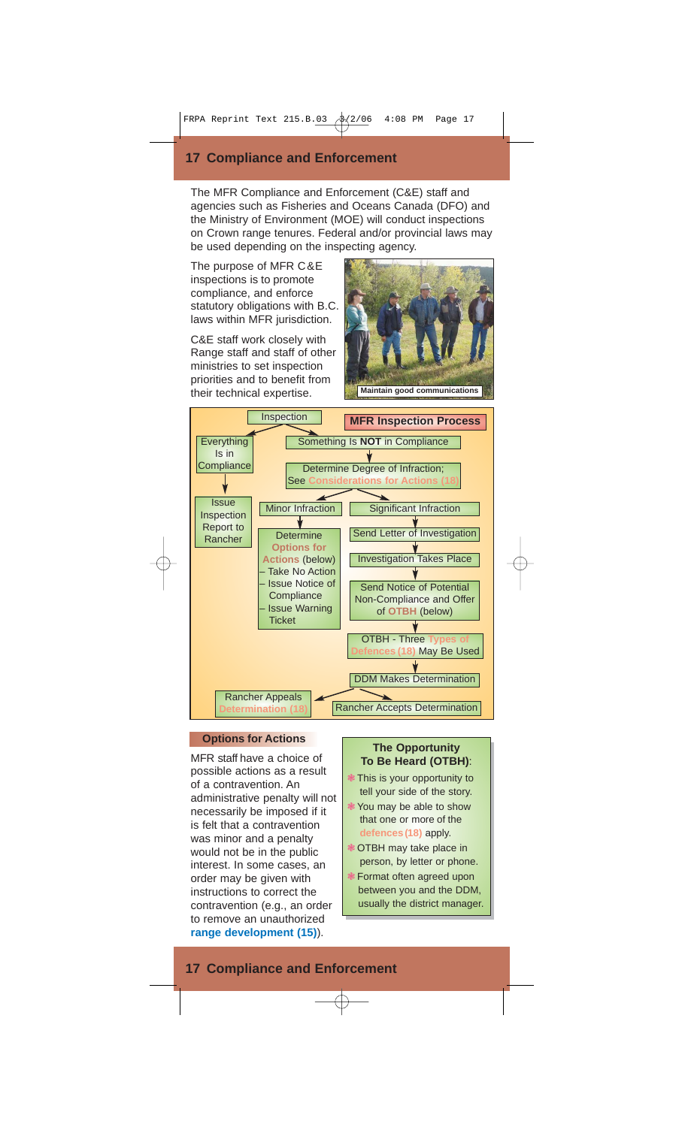## **17 Compliance and Enforcement**

The MFR Compliance and Enforcement (C&E) staff and agencies such as Fisheries and Oceans Canada (DFO) and the Ministry of Environment (MOE) will conduct inspections on Crown range tenures. Federal and/or provincial laws may be used depending on the inspecting agency.

The purpose of MFR C&E inspections is to promote compliance, and enforce statutory obligations with B.C. laws within MFR jurisdiction.

C&E staff work closely with Range staff and staff of other ministries to set inspection priorities and to benefit from their technical expertise.





## **Options for Actions**

MFR staff have a choice of possible actions as a result of a contravention. An administrative penalty will not necessarily be imposed if it is felt that a contravention was minor and a penalty would not be in the public interest. In some cases, an order may be given with instructions to correct the contravention (e.g., an order to remove an unauthorized **range development (15)**).

### **The Opportunity To Be Heard (OTBH)**:

- ❃ This is your opportunity to tell your side of the story.
- ❃ You may be able to show that one or more of the **defences(18)** apply.
- ❃ OTBH may take place in person, by letter or phone.
- ❃ Format often agreed upon between you and the DDM, usually the district manager.

## **17 Compliance and Enforcement**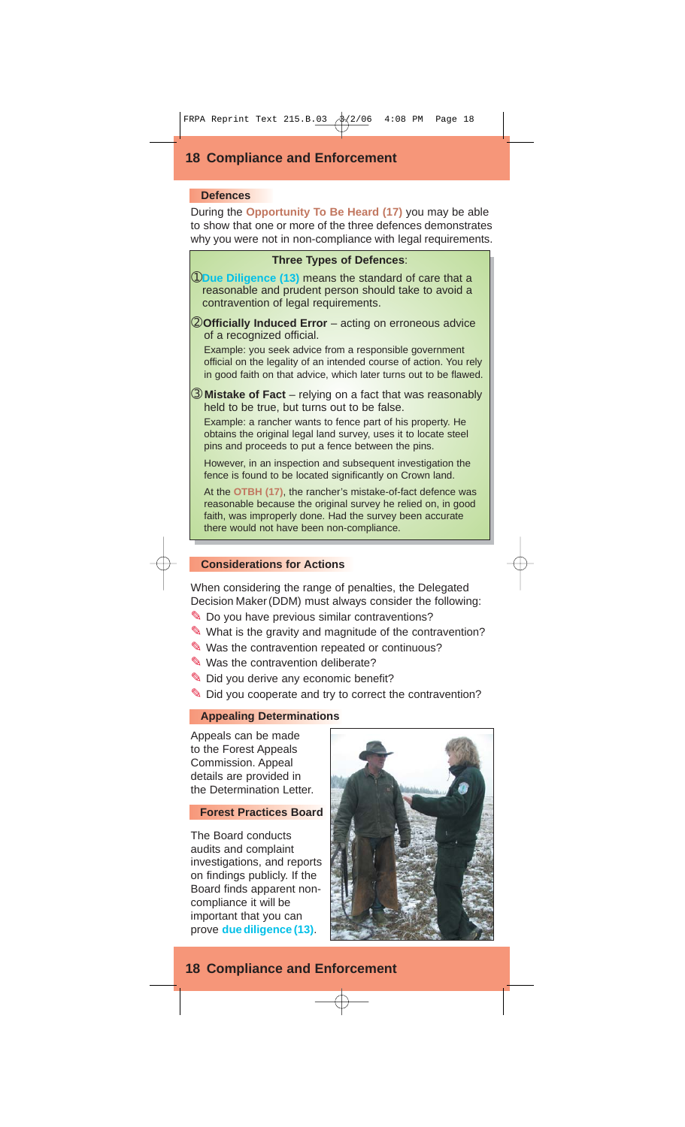## **18 Compliance and Enforcement**

#### **Defences**

During the **Opportunity To Be Heard (17)** you may be able to show that one or more of the three defences demonstrates why you were not in non-compliance with legal requirements.



➀**Due Diligence (13)** means the standard of care that a reasonable and prudent person should take to avoid a contravention of legal requirements.

➁**Officially Induced Error** – acting on erroneous advice of a recognized official.

Example: you seek advice from a responsible government official on the legality of an intended course of action. You rely in good faith on that advice, which later turns out to be flawed.

➂ **Mistake of Fact** – relying on a fact that was reasonably held to be true, but turns out to be false.

Example: a rancher wants to fence part of his property. He obtains the original legal land survey, uses it to locate steel pins and proceeds to put a fence between the pins.

However, in an inspection and subsequent investigation the fence is found to be located significantly on Crown land.

At the **OTBH (17)**, the rancher's mistake-of-fact defence was reasonable because the original survey he relied on, in good faith, was improperly done. Had the survey been accurate there would not have been non-compliance.

## **Considerations for Actions**

When considering the range of penalties, the Delegated Decision Maker (DDM) must always consider the following:

- ✎ Do you have previous similar contraventions?
- ✎ What is the gravity and magnitude of the contravention?
- ✎ Was the contravention repeated or continuous?
- ✎ Was the contravention deliberate?
- ✎ Did you derive any economic benefit?
- ✎ Did you cooperate and try to correct the contravention?

#### **Appealing Determinations**

Appeals can be made to the Forest Appeals Commission. Appeal details are provided in the Determination Letter.

## **Forest Practices Board**

The Board conducts audits and complaint investigations, and reports on findings publicly. If the Board finds apparent noncompliance it will be important that you can prove **due diligence (13)**.



## **18 Compliance and Enforcement**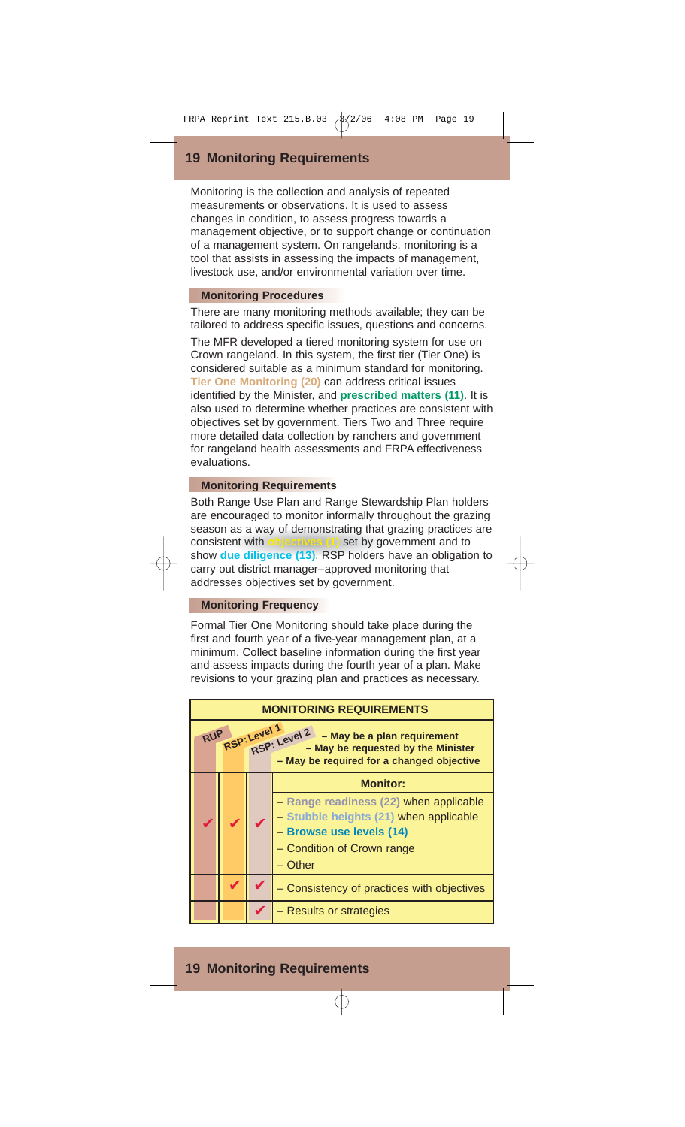## **19 Monitoring Requirements**

Monitoring is the collection and analysis of repeated measurements or observations. It is used to assess changes in condition, to assess progress towards a management objective, or to support change or continuation of a management system. On rangelands, monitoring is a tool that assists in assessing the impacts of management, livestock use, and/or environmental variation over time.

## **Monitoring Procedures**

There are many monitoring methods available; they can be tailored to address specific issues, questions and concerns. The MFR developed a tiered monitoring system for use on Crown rangeland. In this system, the first tier (Tier One) is considered suitable as a minimum standard for monitoring. **Tier One Monitoring (20)** can address critical issues identified by the Minister, and **prescribed matters (11)**. It is also used to determine whether practices are consistent with objectives set by government. Tiers Two and Three require more detailed data collection by ranchers and government for rangeland health assessments and FRPA effectiveness evaluations.

## **Monitoring Requirements**

Both Range Use Plan and Range Stewardship Plan holders are encouraged to monitor informally throughout the grazing season as a way of demonstrating that grazing practices are consistent with **objectives (1)** set by government and to show **due diligence (13)**. RSP holders have an obligation to carry out district manager–approved monitoring that addresses objectives set by government.

## **Monitoring Frequency**

Formal Tier One Monitoring should take place during the first and fourth year of a five-year management plan, at a minimum. Collect baseline information during the first year and assess impacts during the fourth year of a plan. Make revisions to your grazing plan and practices as necessary.



## **19 Monitoring Requirements**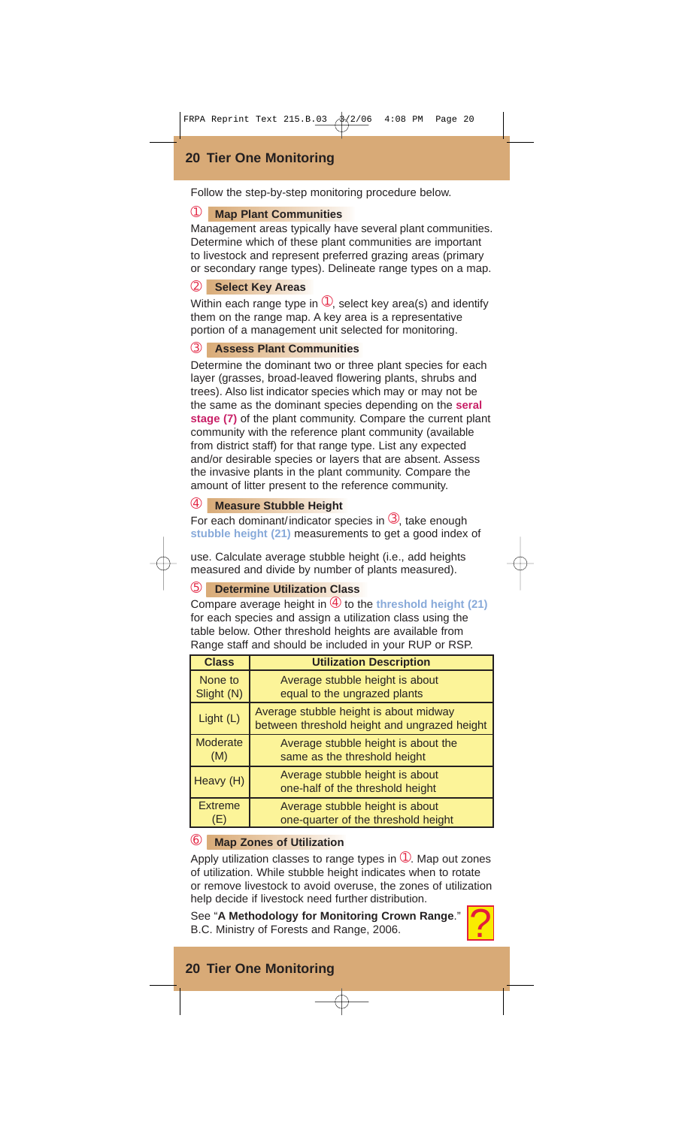## **20 Tier One Monitoring**

Follow the step-by-step monitoring procedure below.

## ➀ **Map Plant Communities**

Management areas typically have several plant communities. Determine which of these plant communities are important to livestock and represent preferred grazing areas (primary or secondary range types). Delineate range types on a map.

## ➁ **Select Key Areas**

Within each range type in  $\mathbb{O}$ , select key area(s) and identify them on the range map. A key area is a representative portion of a management unit selected for monitoring.

## ➂ **Assess Plant Communities**

Determine the dominant two or three plant species for each layer (grasses, broad-leaved flowering plants, shrubs and trees). Also list indicator species which may or may not be the same as the dominant species depending on the **seral stage (7)** of the plant community. Compare the current plant community with the reference plant community (available from district staff) for that range type. List any expected and/or desirable species or layers that are absent. Assess the invasive plants in the plant community. Compare the amount of litter present to the reference community.

## ➃ **Measure Stubble Height**

For each dominant/indicator species in  $\mathcal{F}$ , take enough **stubble height (21)** measurements to get a good index of

use. Calculate average stubble height (i.e., add heights measured and divide by number of plants measured).

## ➄ **Determine Utilization Class**

Compare average height in ➃ to the **threshold height (21)** for each species and assign a utilization class using the table below. Other threshold heights are available from Range staff and should be included in your RUP or RSP.

| <b>Class</b>    | <b>Utilization Description</b>                                                         |  |  |
|-----------------|----------------------------------------------------------------------------------------|--|--|
| None to         | Average stubble height is about                                                        |  |  |
| Slight (N)      | equal to the ungrazed plants                                                           |  |  |
| Light (L)       | Average stubble height is about midway<br>between threshold height and ungrazed height |  |  |
| <b>Moderate</b> | Average stubble height is about the                                                    |  |  |
| (M)             | same as the threshold height                                                           |  |  |
| Heavy (H)       | Average stubble height is about<br>one-half of the threshold height                    |  |  |
| <b>Extreme</b>  | Average stubble height is about                                                        |  |  |
| (E)             | one-quarter of the threshold height                                                    |  |  |

## ➅ **Map Zones of Utilization**

Apply utilization classes to range types in  $\mathbb O$ . Map out zones of utilization. While stubble height indicates when to rotate or remove livestock to avoid overuse, the zones of utilization help decide if livestock need further distribution. <u>?</u>

See "**A Methodology for Monitoring Crown Range**." B.C. Ministry of Forests and Range, 2006.

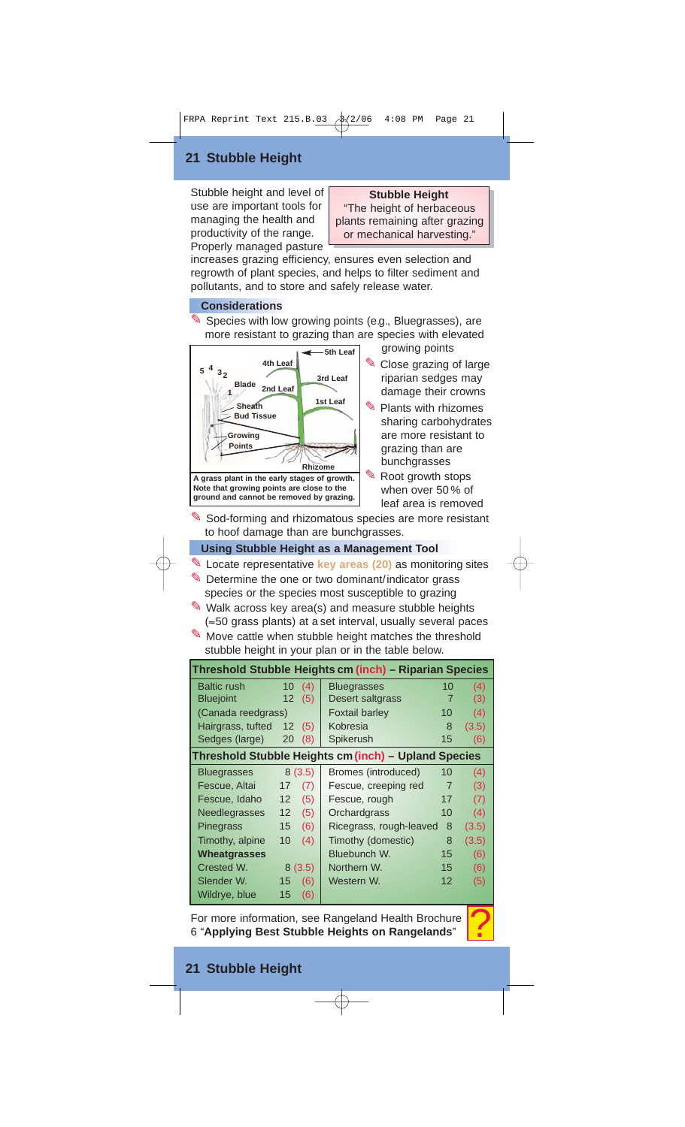## **21 Stubble Height**

Stubble height and level of use are important tools for managing the health and productivity of the range. Properly managed pasture

## **Stubble Height**

"The height of herbaceous plants remaining after grazing or mechanical harvesting."

increases grazing efficiency, ensures even selection and regrowth of plant species, and helps to filter sediment and pollutants, and to store and safely release water.

## **Considerations**

✎ Species with low growing points (e.g., Bluegrasses), are more resistant to grazing than are species with elevated



Close grazing of large riparian sedges may damage their crowns

growing points

- Plants with rhizomes sharing carbohydrates are more resistant to grazing than are bunchgrasses
	- ✎ Root growth stops when over 50 % of leaf area is removed

✎ Sod-forming and rhizomatous species are more resistant to hoof damage than are bunchgrasses.

## **Using Stubble Height as a Management Tool**

- ✎ Locate representative **key areas (20)** as monitoring sites
- ✎ Determine the one or two dominant/indicator grass species or the species most susceptible to grazing
- ✎ Walk across key area(s) and measure stubble heights (≈50 grass plants) at a set interval, usually several paces
- ✎ Move cattle when stubble height matches the threshold stubble height in your plan or in the table below.

| Threshold Stubble Heights cm (inch) – Riparian Species                                                 |                   |        |                         |                   |       |
|--------------------------------------------------------------------------------------------------------|-------------------|--------|-------------------------|-------------------|-------|
| <b>Baltic rush</b>                                                                                     | 10 <sup>°</sup>   | (4)    | <b>Bluegrasses</b>      | 10                | (4)   |
| <b>Bluejoint</b><br>12 <sup>2</sup>                                                                    |                   | (5)    | Desert saltgrass        | 7                 | (3)   |
| (Canada reedgrass)                                                                                     |                   |        | <b>Foxtail barley</b>   | (4)               |       |
| Hairgrass, tufted                                                                                      | $12 \overline{ }$ | (5)    | Kobresia<br>8           |                   | (3.5) |
| Sedges (large)                                                                                         | 20                | (8)    | Spikerush               | 15                | (6)   |
| Threshold Stubble Heights cm (inch) - Upland Species                                                   |                   |        |                         |                   |       |
| <b>Bluegrasses</b>                                                                                     |                   | 8(3.5) | Bromes (introduced)     | 10                | (4)   |
| Fescue, Altai                                                                                          | 17                | (7)    | Fescue, creeping red    | $\overline{7}$    | (3)   |
| Fescue, Idaho                                                                                          | 12                | (5)    | Fescue, rough           | 17                | (7)   |
| <b>Needlegrasses</b>                                                                                   | 12 <sup>2</sup>   | (5)    | Orchardgrass            | 10                | (4)   |
| Pinegrass                                                                                              | 15 <sup>2</sup>   | (6)    | Ricegrass, rough-leaved | 8                 | (3.5) |
| Timothy, alpine                                                                                        | 10                | (4)    | Timothy (domestic)      | 8                 | (3.5) |
| <b>Wheatgrasses</b>                                                                                    |                   |        | Bluebunch W.            | 15                | (6)   |
| Crested W.                                                                                             |                   | 8(3.5) | Northern W.             | 15                | (6)   |
| Slender W.                                                                                             | 15                | (6)    | Western W.              | $12 \overline{ }$ | (5)   |
| Wildrye, blue                                                                                          | 15                | (6)    |                         |                   |       |
| For more information, see Rangeland Health Brochure<br>6 "Applying Best Stubble Heights on Rangelands" |                   |        |                         |                   |       |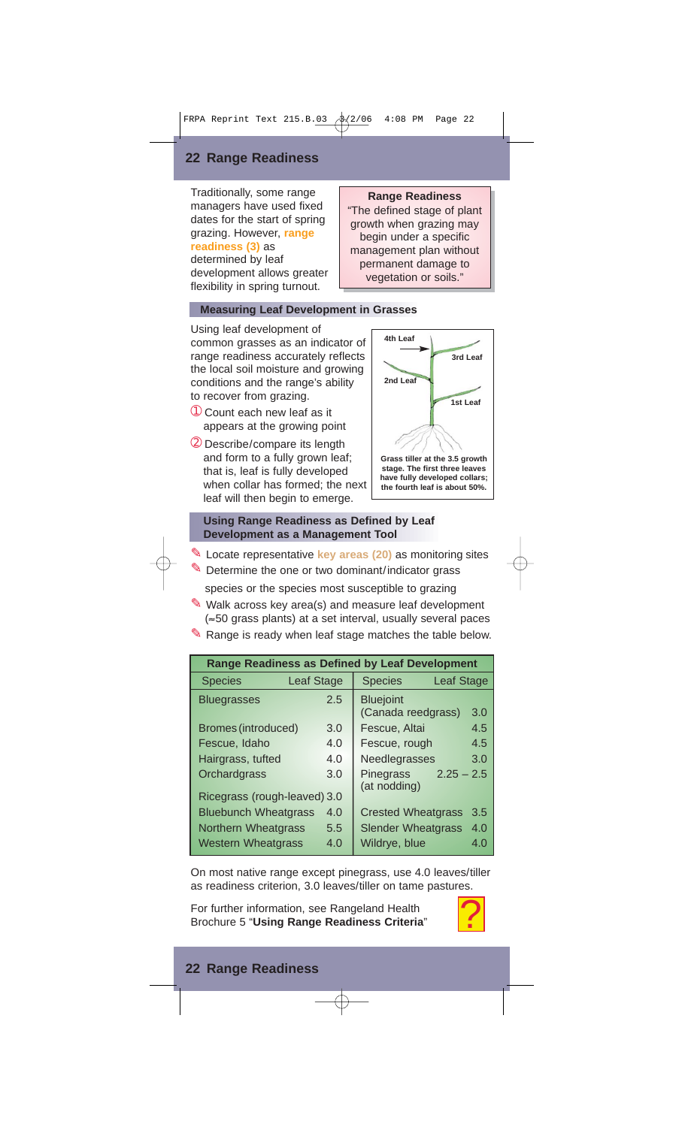## **22 Range Readiness**

Traditionally, some range managers have used fixed dates for the start of spring grazing. However, **range readiness (3)** as determined by leaf development allows greater flexibility in spring turnout.

## **Measuring Leaf Development in Grasses**

Using leaf development of common grasses as an indicator of range readiness accurately reflects the local soil moisture and growing conditions and the range's ability to recover from grazing.

- ➀ Count each new leaf as it appears at the growing point
- ➁ Describe/compare its length and form to a fully grown leaf; that is, leaf is fully developed when collar has formed; the next leaf will then begin to emerge.

## permanent damage to vegetation or soils." **3rd Leaf 4th Leaf**

**2nd Leaf**

**1st Leaf**

**Range Readiness** "The defined stage of plant growth when grazing may begin under a specific management plan without

**Grass tiller at the 3.5 growth stage. The first three leaves have fully developed collars; the fourth leaf is about 50%.**

## **Using Range Readiness as Defined by Leaf Development as a Management Tool**

- ✎ Locate representative **key areas (20)** as monitoring sites
- ✎ Determine the one or two dominant/indicator grass species or the species most susceptible to grazing
- ✎ Walk across key area(s) and measure leaf development (≈50 grass plants) at a set interval, usually several paces
- ✎ Range is ready when leaf stage matches the table below.

| <b>Range Readiness as Defined by Leaf Development</b> |                   |                                           |     |  |  |
|-------------------------------------------------------|-------------------|-------------------------------------------|-----|--|--|
| <b>Species</b>                                        | <b>Leaf Stage</b> | <b>Species</b><br>Leaf Stage              |     |  |  |
| <b>Bluegrasses</b>                                    | 2.5               | <b>Bluejoint</b><br>(Canada reedgrass)    | 3.0 |  |  |
| Bromes (introduced)                                   | 3.0               | Fescue, Altai                             | 4.5 |  |  |
| Fescue, Idaho                                         | 4.0               | Fescue, rough                             | 4.5 |  |  |
| Hairgrass, tufted                                     | 4.0               | Needlegrasses                             | 3.0 |  |  |
| Orchardgrass                                          | 3.0               | $2.25 - 2.5$<br>Pinegrass<br>(at nodding) |     |  |  |
| Ricegrass (rough-leaved) 3.0                          |                   |                                           |     |  |  |
| <b>Bluebunch Wheatgrass</b>                           | 4.0               | <b>Crested Wheatgrass</b>                 | 3.5 |  |  |
| <b>Northern Wheatgrass</b>                            | 5.5               | <b>Slender Wheatgrass</b>                 | 4.0 |  |  |
| <b>Western Wheatgrass</b>                             | 4.0               | Wildrye, blue                             | 4.0 |  |  |

On most native range except pinegrass, use 4.0 leaves/tiller as readiness criterion, 3.0 leaves/tiller on tame pastures.

For further information, see Rangeland Health Brochure 5 "**Using Range Readiness Criteria**"

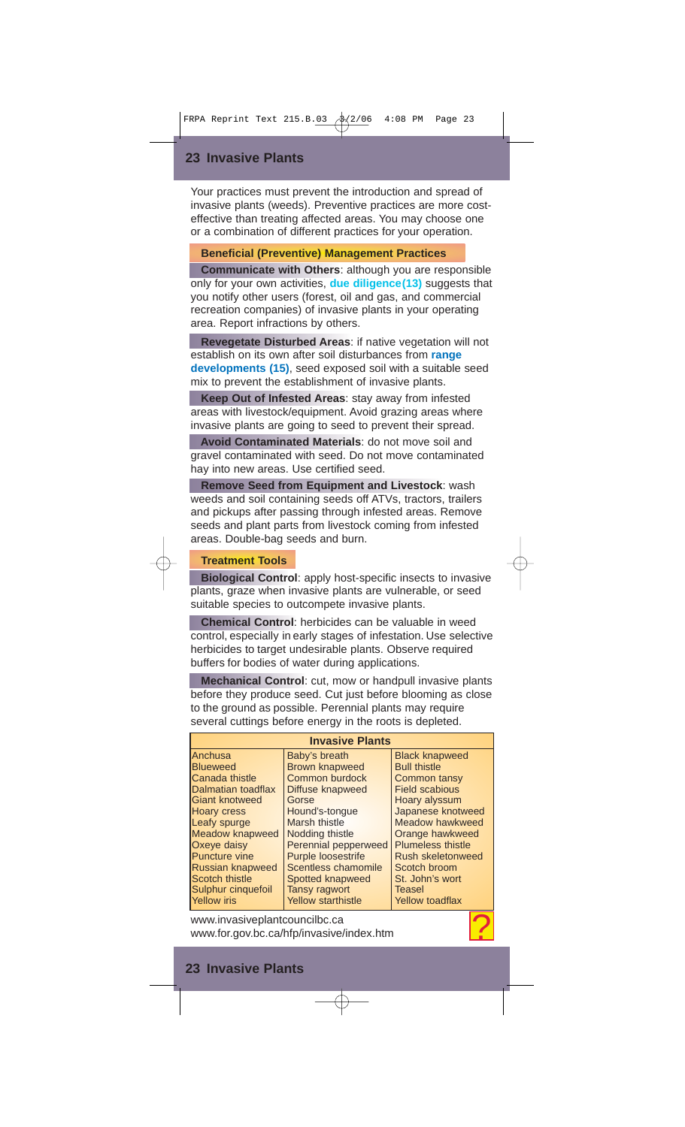## **23 Invasive Plants**

Your practices must prevent the introduction and spread of invasive plants (weeds). Preventive practices are more costeffective than treating affected areas. You may choose one or a combination of different practices for your operation.

## **Beneficial (Preventive) Management Practices**

**Communicate with Others**: although you are responsible only for your own activities, **due diligence(13)** suggests that you notify other users (forest, oil and gas, and commercial recreation companies) of invasive plants in your operating area. Report infractions by others.

**Revegetate Disturbed Areas**: if native vegetation will not establish on its own after soil disturbances from **range developments (15)**, seed exposed soil with a suitable seed mix to prevent the establishment of invasive plants.

**Keep Out of Infested Areas**: stay away from infested areas with livestock/equipment. Avoid grazing areas where invasive plants are going to seed to prevent their spread.

**Avoid Contaminated Materials**: do not move soil and gravel contaminated with seed. Do not move contaminated hay into new areas. Use certified seed.

**Remove Seed from Equipment and Livestock**: wash weeds and soil containing seeds off ATVs, tractors, trailers and pickups after passing through infested areas. Remove seeds and plant parts from livestock coming from infested areas. Double-bag seeds and burn.

## **Treatment Tools**

**Biological Control**: apply host-specific insects to invasive plants, graze when invasive plants are vulnerable, or seed suitable species to outcompete invasive plants.

**Chemical Control**: herbicides can be valuable in weed control, especially in early stages of infestation. Use selective herbicides to target undesirable plants. Observe required buffers for bodies of water during applications.

**Mechanical Control**: cut, mow or handpull invasive plants before they produce seed. Cut just before blooming as close to the ground as possible. Perennial plants may require several cuttings before energy in the roots is depleted.

| <b>Invasive Plants</b>                                                                                                                                                                                                                                                        |                                                                                                                                                                                                                                                                                                  |                                                                                                                                                                                                                                                                                           |  |  |  |
|-------------------------------------------------------------------------------------------------------------------------------------------------------------------------------------------------------------------------------------------------------------------------------|--------------------------------------------------------------------------------------------------------------------------------------------------------------------------------------------------------------------------------------------------------------------------------------------------|-------------------------------------------------------------------------------------------------------------------------------------------------------------------------------------------------------------------------------------------------------------------------------------------|--|--|--|
| Anchusa<br><b>Blueweed</b><br>Canada thistle<br>Dalmatian toadflax<br>Giant knotweed<br><b>Hoary cress</b><br>Leafy spurge<br><b>Meadow knapweed</b><br>Oxeye daisy<br><b>Puncture vine</b><br>Russian knapweed<br>Scotch thistle<br>Sulphur cinquefoil<br><b>Yellow</b> iris | Baby's breath<br><b>Brown knapweed</b><br>Common burdock<br>Diffuse knapweed<br>Gorse<br>Hound's-tongue<br>Marsh thistle<br>Nodding thistle<br><b>Perennial pepperweed</b><br><b>Purple loosestrife</b><br>Scentless chamomile<br>Spotted knapweed<br>Tansy ragwort<br><b>Yellow starthistle</b> | <b>Black knapweed</b><br><b>Bull thistle</b><br>Common tansy<br><b>Field scabious</b><br>Hoary alyssum<br>Japanese knotweed<br>Meadow hawkweed<br>Orange hawkweed<br><b>Plumeless thistle</b><br>Rush skeletonweed<br>Scotch broom<br>St. John's wort<br>Teasel<br><b>Yellow toadflax</b> |  |  |  |
| www.invasiveplantcouncilbc.ca<br>www.for.gov.bc.ca/hfp/invasive/index.htm                                                                                                                                                                                                     |                                                                                                                                                                                                                                                                                                  |                                                                                                                                                                                                                                                                                           |  |  |  |

## **23 Invasive Plants**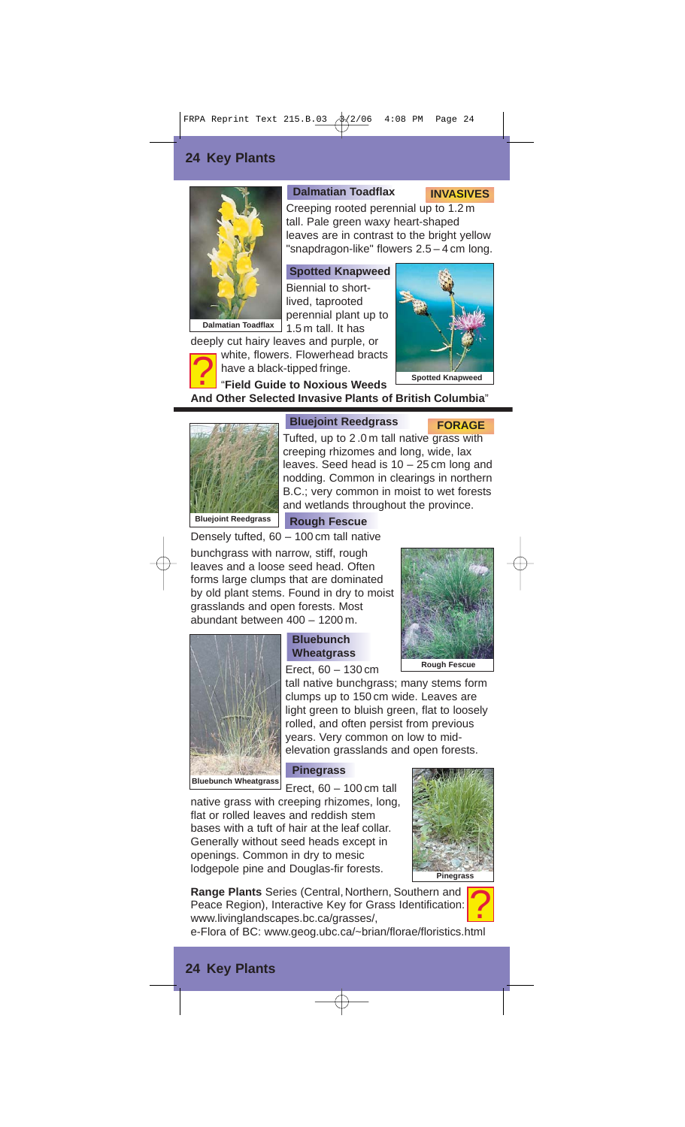## **24 Key Plants**



#### **Dalmatian Toadflax**

Creeping rooted perennial up to 1.2 m tall. Pale green waxy heart-shaped leaves are in contrast to the bright yellow "snapdragon-like" flowers 2.5 – 4 cm long.

**Spotted Knapweed** Biennial to shortlived, taprooted perennial plant up to

1.5 m tall. It has

**Dalmatian Toadflax**

deeply cut hairy leaves and purple, or white, flowers. Flowerhead bracts have a black-tipped fringe. <u>?</u>



**FORAGE**

**INVASIVES**

"**Field Guide to Noxious Weeds And Other Selected Invasive Plants of British Columbia**"



#### **Bluejoint Reedgrass**

Tufted, up to 2 .0 m tall native grass with creeping rhizomes and long, wide, lax leaves. Seed head is 10 – 25 cm long and nodding. Common in clearings in northern B.C.; very common in moist to wet forests and wetlands throughout the province.

bunchgrass with narrow, stiff, rough leaves and a loose seed head. Often forms large clumps that are dominated by old plant stems. Found in dry to moist grasslands and open forests. Most abundant between 400 – 1200 m. Densely tufted, 60 – 100 cm tall native



## **Bluebunch Wheatgrass**

Erect, 60 – 130 cm

tall native bunchgrass; many stems form clumps up to 150 cm wide. Leaves are light green to bluish green, flat to loosely rolled, and often persist from previous years. Very common on low to midelevation grasslands and open forests.

#### **Pinegrass**

 $E$  Erect, 60 – 100 cm tall

native grass with creeping rhizomes, long, flat or rolled leaves and reddish stem bases with a tuft of hair at the leaf collar. Generally without seed heads except in openings. Common in dry to mesic lodgepole pine and Douglas-fir forests.



**Pinegrass**

**Range Plants** Series (Central, Northern, Southern and Peace Region), Interactive Key for Grass Identification: www.livinglandscapes.bc.ca/grasses/, <u>?</u>

e-Flora of BC: www.geog.ubc.ca/~brian/florae/floristics.html

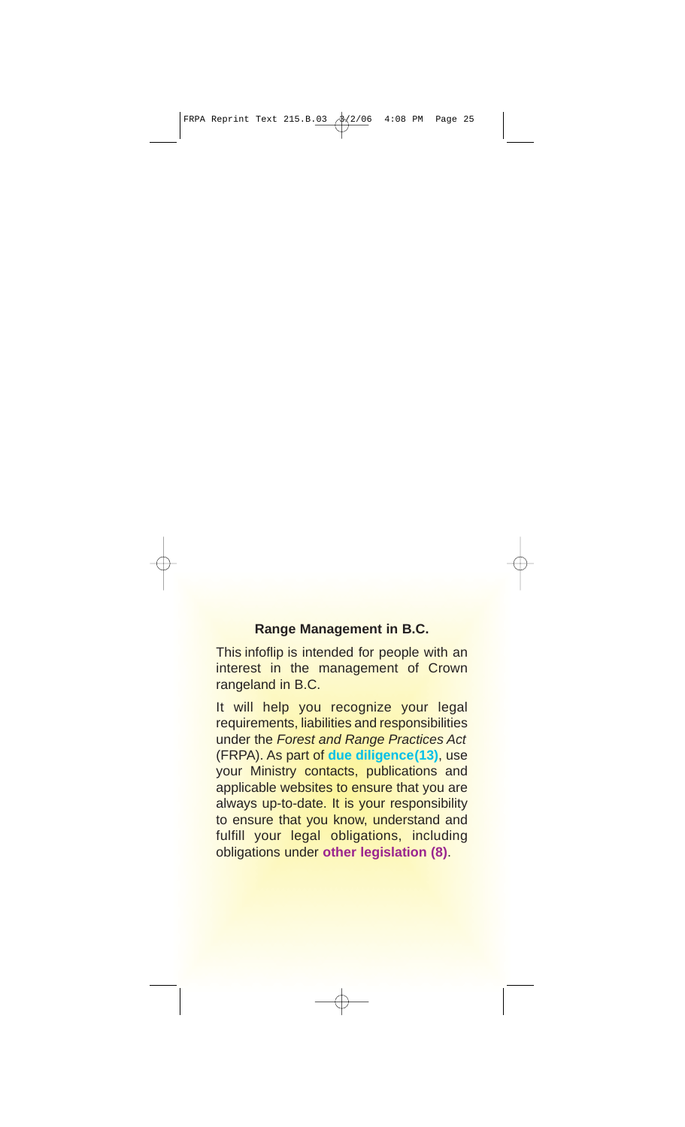## **Range Management in B.C.**

This infoflip is intended for people with an interest in the management of Crown rangeland in B.C.

It will help you recognize your legal requirements, liabilities and responsibilities under the Forest and Range Practices Act (FRPA). As part of **due diligence(13)**, use your Ministry contacts, publications and applicable websites to ensure that you are always up-to-date. It is your responsibility to ensure that you know, understand and fulfill your legal obligations, including obligations under **other legislation (8)**.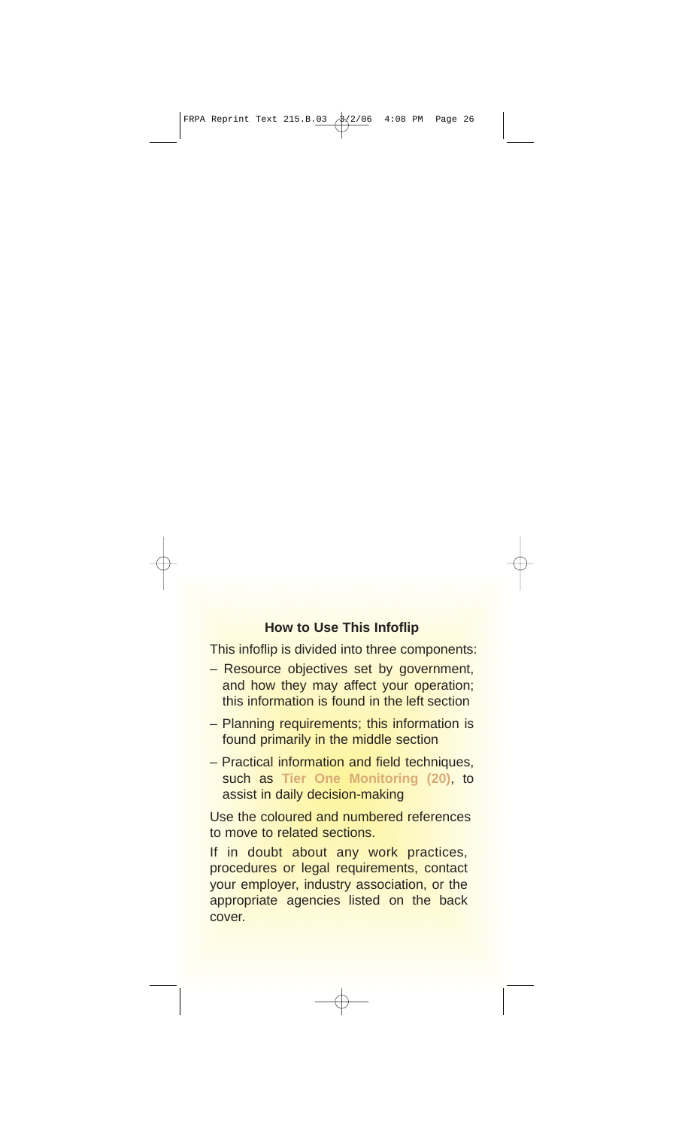## **How to Use This Infoflip**

This infoflip is divided into three components:

- Resource objectives set by government, and how they may affect your operation; this information is found in the left section
- Planning requirements; this information is found primarily in the middle section
- Practical information and field techniques, such as **Tier One Monitoring (20)**, to assist in daily decision-making

Use the coloured and numbered references to move to related sections.

If in doubt about any work practices, procedures or legal requirements, contact your employer, industry association, or the appropriate agencies listed on the back cover.